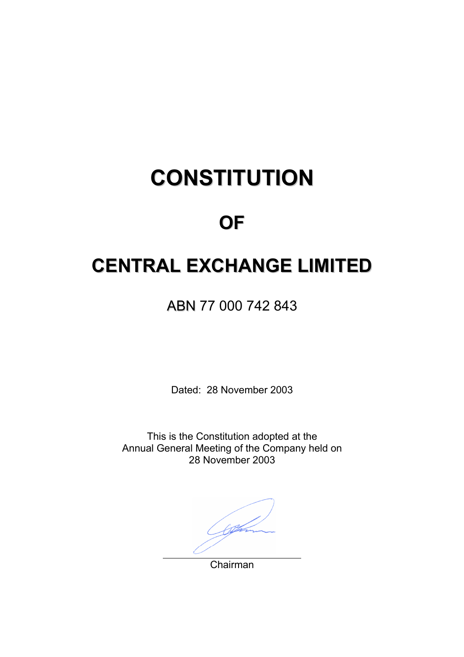# **CONSTITUTION**

## **OF**

## **CENTRAL EXCHANGE LIMITED**

ABN 77 000 742 843

Dated: 28 November 2003

This is the Constitution adopted at the Annual General Meeting of the Company held on 28 November 2003

Chairman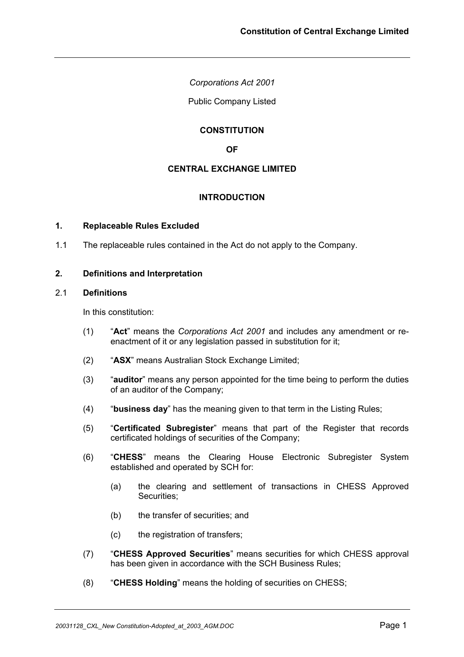*Corporations Act 2001* 

Public Company Listed

## **CONSTITUTION**

**OF** 

## **CENTRAL EXCHANGE LIMITED**

## **INTRODUCTION**

#### **1. Replaceable Rules Excluded**

1.1 The replaceable rules contained in the Act do not apply to the Company.

#### **2. Definitions and Interpretation**

## 2.1 **Definitions**

In this constitution:

- (1) "**Act**" means the *Corporations Act 2001* and includes any amendment or reenactment of it or any legislation passed in substitution for it;
- (2) "**ASX**" means Australian Stock Exchange Limited;
- (3) "**auditor**" means any person appointed for the time being to perform the duties of an auditor of the Company;
- (4) "**business day**" has the meaning given to that term in the Listing Rules;
- (5) "**Certificated Subregister**" means that part of the Register that records certificated holdings of securities of the Company;
- (6) "**CHESS**" means the Clearing House Electronic Subregister System established and operated by SCH for:
	- (a) the clearing and settlement of transactions in CHESS Approved Securities;
	- (b) the transfer of securities; and
	- (c) the registration of transfers;
- (7) "**CHESS Approved Securities**" means securities for which CHESS approval has been given in accordance with the SCH Business Rules;
- (8) "**CHESS Holding**" means the holding of securities on CHESS;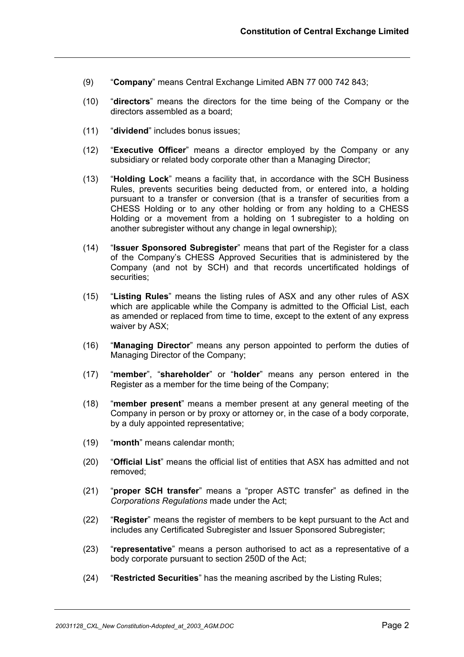- (9) "**Company**" means Central Exchange Limited ABN 77 000 742 843;
- (10) "**directors**" means the directors for the time being of the Company or the directors assembled as a board;
- (11) "**dividend**" includes bonus issues;
- (12) "**Executive Officer**" means a director employed by the Company or any subsidiary or related body corporate other than a Managing Director;
- (13) "**Holding Lock**" means a facility that, in accordance with the SCH Business Rules, prevents securities being deducted from, or entered into, a holding pursuant to a transfer or conversion (that is a transfer of securities from a CHESS Holding or to any other holding or from any holding to a CHESS Holding or a movement from a holding on 1 subregister to a holding on another subregister without any change in legal ownership);
- (14) "**Issuer Sponsored Subregister**" means that part of the Register for a class of the Company's CHESS Approved Securities that is administered by the Company (and not by SCH) and that records uncertificated holdings of securities;
- (15) "**Listing Rules**" means the listing rules of ASX and any other rules of ASX which are applicable while the Company is admitted to the Official List, each as amended or replaced from time to time, except to the extent of any express waiver by ASX;
- (16) "**Managing Director**" means any person appointed to perform the duties of Managing Director of the Company;
- (17) "**member**", "**shareholder**" or "**holder**" means any person entered in the Register as a member for the time being of the Company;
- (18) "**member present**" means a member present at any general meeting of the Company in person or by proxy or attorney or, in the case of a body corporate, by a duly appointed representative;
- (19) "**month**" means calendar month;
- (20) "**Official List**" means the official list of entities that ASX has admitted and not removed;
- (21) "**proper SCH transfer**" means a "proper ASTC transfer" as defined in the *Corporations Regulations* made under the Act;
- (22) "**Register**" means the register of members to be kept pursuant to the Act and includes any Certificated Subregister and Issuer Sponsored Subregister;
- (23) "**representative**" means a person authorised to act as a representative of a body corporate pursuant to section 250D of the Act;
- (24) "**Restricted Securities**" has the meaning ascribed by the Listing Rules;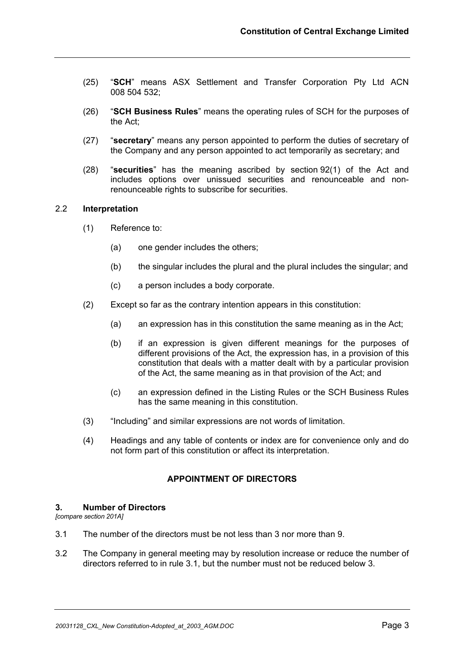- (25) "**SCH**" means ASX Settlement and Transfer Corporation Pty Ltd ACN 008 504 532;
- (26) "**SCH Business Rules**" means the operating rules of SCH for the purposes of the Act;
- (27) "**secretary**" means any person appointed to perform the duties of secretary of the Company and any person appointed to act temporarily as secretary; and
- (28) "**securities**" has the meaning ascribed by section 92(1) of the Act and includes options over unissued securities and renounceable and nonrenounceable rights to subscribe for securities.

#### 2.2 **Interpretation**

- (1) Reference to:
	- (a) one gender includes the others;
	- (b) the singular includes the plural and the plural includes the singular; and
	- (c) a person includes a body corporate.
- (2) Except so far as the contrary intention appears in this constitution:
	- (a) an expression has in this constitution the same meaning as in the Act;
	- (b) if an expression is given different meanings for the purposes of different provisions of the Act, the expression has, in a provision of this constitution that deals with a matter dealt with by a particular provision of the Act, the same meaning as in that provision of the Act; and
	- (c) an expression defined in the Listing Rules or the SCH Business Rules has the same meaning in this constitution.
- (3) "Including" and similar expressions are not words of limitation.
- (4) Headings and any table of contents or index are for convenience only and do not form part of this constitution or affect its interpretation.

## **APPOINTMENT OF DIRECTORS**

#### **3. Number of Directors**

*[compare section 201A]*

- 3.1 The number of the directors must be not less than 3 nor more than 9.
- 3.2 The Company in general meeting may by resolution increase or reduce the number of directors referred to in rule 3.1, but the number must not be reduced below 3.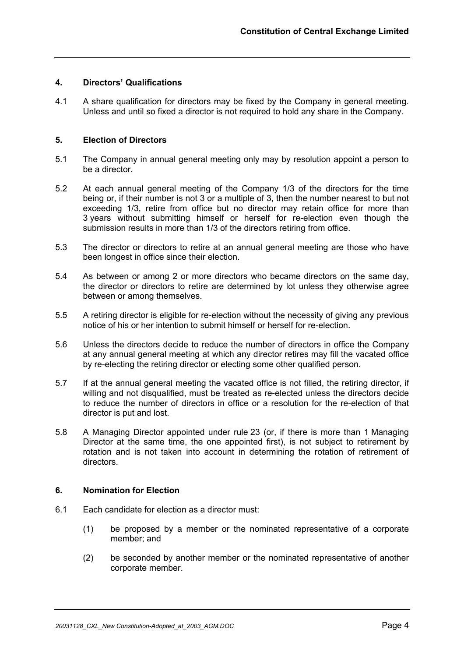## **4. Directors' Qualifications**

4.1 A share qualification for directors may be fixed by the Company in general meeting. Unless and until so fixed a director is not required to hold any share in the Company.

#### **5. Election of Directors**

- 5.1 The Company in annual general meeting only may by resolution appoint a person to be a director.
- 5.2 At each annual general meeting of the Company 1/3 of the directors for the time being or, if their number is not 3 or a multiple of 3, then the number nearest to but not exceeding 1/3, retire from office but no director may retain office for more than 3 years without submitting himself or herself for re-election even though the submission results in more than 1/3 of the directors retiring from office.
- 5.3 The director or directors to retire at an annual general meeting are those who have been longest in office since their election.
- 5.4 As between or among 2 or more directors who became directors on the same day, the director or directors to retire are determined by lot unless they otherwise agree between or among themselves.
- 5.5 A retiring director is eligible for re-election without the necessity of giving any previous notice of his or her intention to submit himself or herself for re-election.
- 5.6 Unless the directors decide to reduce the number of directors in office the Company at any annual general meeting at which any director retires may fill the vacated office by re-electing the retiring director or electing some other qualified person.
- 5.7 If at the annual general meeting the vacated office is not filled, the retiring director, if willing and not disqualified, must be treated as re-elected unless the directors decide to reduce the number of directors in office or a resolution for the re-election of that director is put and lost.
- 5.8 A Managing Director appointed under rule 23 (or, if there is more than 1 Managing Director at the same time, the one appointed first), is not subject to retirement by rotation and is not taken into account in determining the rotation of retirement of directors.

#### **6. Nomination for Election**

- 6.1 Each candidate for election as a director must:
	- (1) be proposed by a member or the nominated representative of a corporate member; and
	- (2) be seconded by another member or the nominated representative of another corporate member.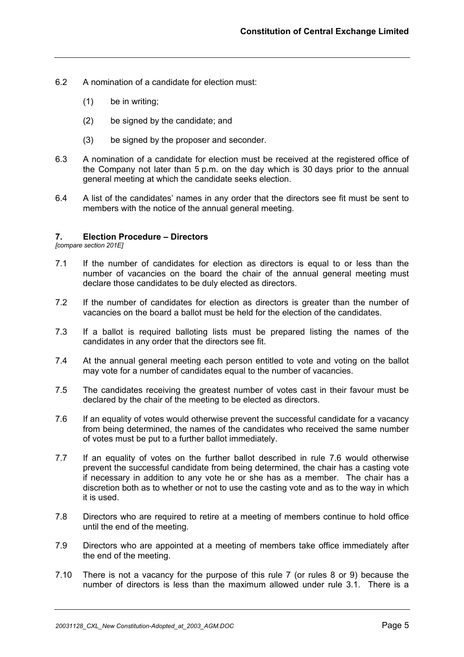- 6.2 A nomination of a candidate for election must:
	- (1) be in writing;
	- (2) be signed by the candidate; and
	- (3) be signed by the proposer and seconder.
- 6.3 A nomination of a candidate for election must be received at the registered office of the Company not later than 5 p.m. on the day which is 30 days prior to the annual general meeting at which the candidate seeks election.
- 6.4 A list of the candidates' names in any order that the directors see fit must be sent to members with the notice of the annual general meeting.

#### **7. Election Procedure – Directors**

*[compare section 201E]*

- 7.1 If the number of candidates for election as directors is equal to or less than the number of vacancies on the board the chair of the annual general meeting must declare those candidates to be duly elected as directors.
- 7.2 If the number of candidates for election as directors is greater than the number of vacancies on the board a ballot must be held for the election of the candidates.
- 7.3 If a ballot is required balloting lists must be prepared listing the names of the candidates in any order that the directors see fit.
- 7.4 At the annual general meeting each person entitled to vote and voting on the ballot may vote for a number of candidates equal to the number of vacancies.
- 7.5 The candidates receiving the greatest number of votes cast in their favour must be declared by the chair of the meeting to be elected as directors.
- 7.6 If an equality of votes would otherwise prevent the successful candidate for a vacancy from being determined, the names of the candidates who received the same number of votes must be put to a further ballot immediately.
- 7.7 If an equality of votes on the further ballot described in rule 7.6 would otherwise prevent the successful candidate from being determined, the chair has a casting vote if necessary in addition to any vote he or she has as a member. The chair has a discretion both as to whether or not to use the casting vote and as to the way in which it is used.
- 7.8 Directors who are required to retire at a meeting of members continue to hold office until the end of the meeting.
- 7.9 Directors who are appointed at a meeting of members take office immediately after the end of the meeting.
- 7.10 There is not a vacancy for the purpose of this rule 7 (or rules 8 or 9) because the number of directors is less than the maximum allowed under rule 3.1. There is a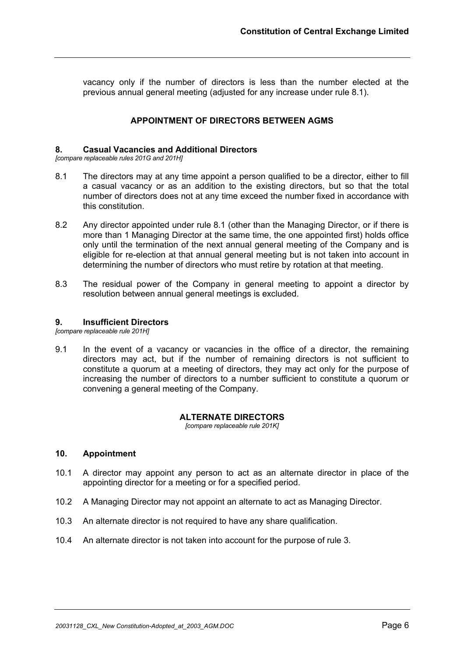vacancy only if the number of directors is less than the number elected at the previous annual general meeting (adjusted for any increase under rule 8.1).

## **APPOINTMENT OF DIRECTORS BETWEEN AGMS**

## **8. Casual Vacancies and Additional Directors**

*[compare replaceable rules 201G and 201H]*

- 8.1 The directors may at any time appoint a person qualified to be a director, either to fill a casual vacancy or as an addition to the existing directors, but so that the total number of directors does not at any time exceed the number fixed in accordance with this constitution.
- 8.2 Any director appointed under rule 8.1 (other than the Managing Director, or if there is more than 1 Managing Director at the same time, the one appointed first) holds office only until the termination of the next annual general meeting of the Company and is eligible for re-election at that annual general meeting but is not taken into account in determining the number of directors who must retire by rotation at that meeting.
- 8.3 The residual power of the Company in general meeting to appoint a director by resolution between annual general meetings is excluded.

#### **9. Insufficient Directors**

*[compare replaceable rule 201H]*

9.1 In the event of a vacancy or vacancies in the office of a director, the remaining directors may act, but if the number of remaining directors is not sufficient to constitute a quorum at a meeting of directors, they may act only for the purpose of increasing the number of directors to a number sufficient to constitute a quorum or convening a general meeting of the Company.

#### **ALTERNATE DIRECTORS**

*[compare replaceable rule 201K]*

#### **10. Appointment**

- 10.1 A director may appoint any person to act as an alternate director in place of the appointing director for a meeting or for a specified period.
- 10.2 A Managing Director may not appoint an alternate to act as Managing Director.
- 10.3 An alternate director is not required to have any share qualification.
- 10.4 An alternate director is not taken into account for the purpose of rule 3.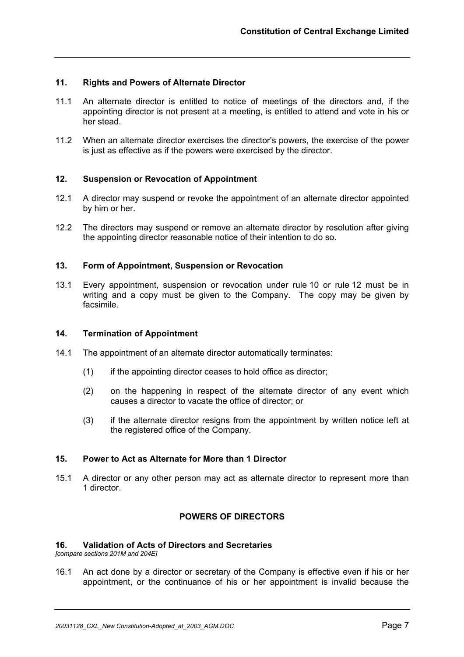## **11. Rights and Powers of Alternate Director**

- 11.1 An alternate director is entitled to notice of meetings of the directors and, if the appointing director is not present at a meeting, is entitled to attend and vote in his or her stead.
- 11.2 When an alternate director exercises the director's powers, the exercise of the power is just as effective as if the powers were exercised by the director.

## **12. Suspension or Revocation of Appointment**

- 12.1 A director may suspend or revoke the appointment of an alternate director appointed by him or her.
- 12.2 The directors may suspend or remove an alternate director by resolution after giving the appointing director reasonable notice of their intention to do so.

## **13. Form of Appointment, Suspension or Revocation**

13.1 Every appointment, suspension or revocation under rule 10 or rule 12 must be in writing and a copy must be given to the Company. The copy may be given by facsimile.

## **14. Termination of Appointment**

- 14.1 The appointment of an alternate director automatically terminates:
	- (1) if the appointing director ceases to hold office as director;
	- (2) on the happening in respect of the alternate director of any event which causes a director to vacate the office of director; or
	- (3) if the alternate director resigns from the appointment by written notice left at the registered office of the Company.

## **15. Power to Act as Alternate for More than 1 Director**

15.1 A director or any other person may act as alternate director to represent more than 1 director.

## **POWERS OF DIRECTORS**

## **16. Validation of Acts of Directors and Secretaries**

*[compare sections 201M and 204E]*

16.1 An act done by a director or secretary of the Company is effective even if his or her appointment, or the continuance of his or her appointment is invalid because the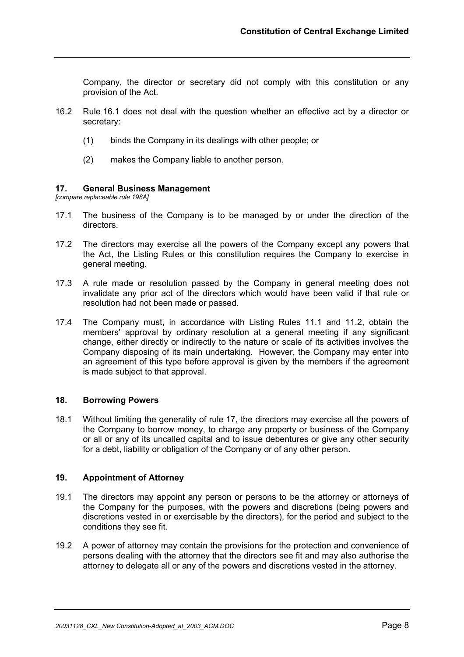Company, the director or secretary did not comply with this constitution or any provision of the Act.

- 16.2 Rule 16.1 does not deal with the question whether an effective act by a director or secretary:
	- (1) binds the Company in its dealings with other people; or
	- (2) makes the Company liable to another person.

## **17. General Business Management**

*[compare replaceable rule 198A]*

- 17.1 The business of the Company is to be managed by or under the direction of the directors.
- 17.2 The directors may exercise all the powers of the Company except any powers that the Act, the Listing Rules or this constitution requires the Company to exercise in general meeting.
- 17.3 A rule made or resolution passed by the Company in general meeting does not invalidate any prior act of the directors which would have been valid if that rule or resolution had not been made or passed.
- 17.4 The Company must, in accordance with Listing Rules 11.1 and 11.2, obtain the members' approval by ordinary resolution at a general meeting if any significant change, either directly or indirectly to the nature or scale of its activities involves the Company disposing of its main undertaking. However, the Company may enter into an agreement of this type before approval is given by the members if the agreement is made subject to that approval.

## **18. Borrowing Powers**

18.1 Without limiting the generality of rule 17, the directors may exercise all the powers of the Company to borrow money, to charge any property or business of the Company or all or any of its uncalled capital and to issue debentures or give any other security for a debt, liability or obligation of the Company or of any other person.

#### **19. Appointment of Attorney**

- 19.1 The directors may appoint any person or persons to be the attorney or attorneys of the Company for the purposes, with the powers and discretions (being powers and discretions vested in or exercisable by the directors), for the period and subject to the conditions they see fit.
- 19.2 A power of attorney may contain the provisions for the protection and convenience of persons dealing with the attorney that the directors see fit and may also authorise the attorney to delegate all or any of the powers and discretions vested in the attorney.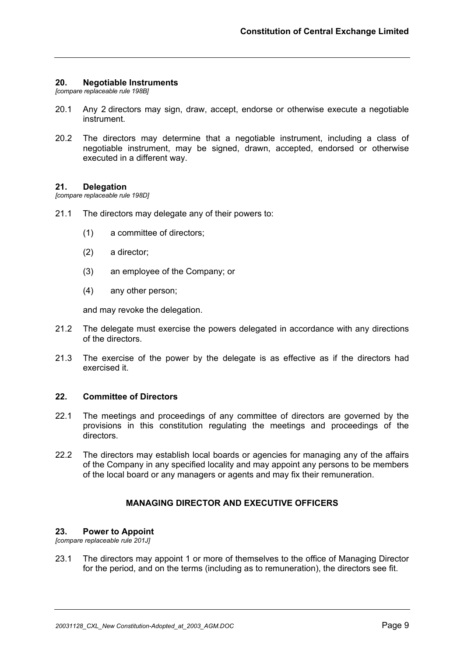## **20. Negotiable Instruments**

*[compare replaceable rule 198B]*

- 20.1 Any 2 directors may sign, draw, accept, endorse or otherwise execute a negotiable instrument.
- 20.2 The directors may determine that a negotiable instrument, including a class of negotiable instrument, may be signed, drawn, accepted, endorsed or otherwise executed in a different way.

#### **21. Delegation**

*[compare replaceable rule 198D]*

- 21.1 The directors may delegate any of their powers to:
	- (1) a committee of directors;
	- (2) a director;
	- (3) an employee of the Company; or
	- (4) any other person;

and may revoke the delegation.

- 21.2 The delegate must exercise the powers delegated in accordance with any directions of the directors.
- 21.3 The exercise of the power by the delegate is as effective as if the directors had exercised it.

## **22. Committee of Directors**

- 22.1 The meetings and proceedings of any committee of directors are governed by the provisions in this constitution regulating the meetings and proceedings of the directors.
- 22.2 The directors may establish local boards or agencies for managing any of the affairs of the Company in any specified locality and may appoint any persons to be members of the local board or any managers or agents and may fix their remuneration.

## **MANAGING DIRECTOR AND EXECUTIVE OFFICERS**

#### **23. Power to Appoint**

*[compare replaceable rule 201J]* 

23.1 The directors may appoint 1 or more of themselves to the office of Managing Director for the period, and on the terms (including as to remuneration), the directors see fit.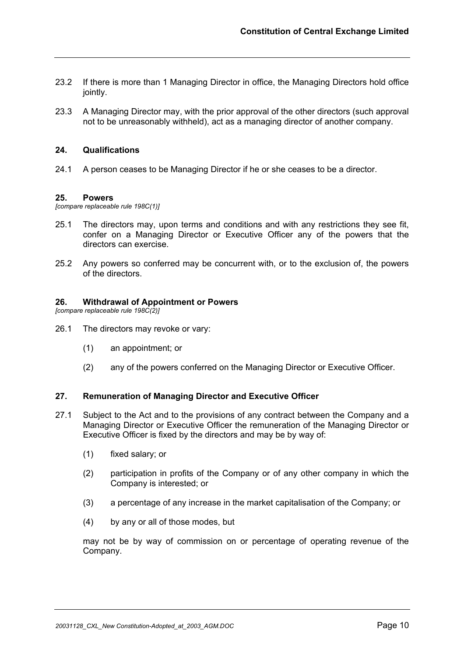- 23.2 If there is more than 1 Managing Director in office, the Managing Directors hold office jointly.
- 23.3 A Managing Director may, with the prior approval of the other directors (such approval not to be unreasonably withheld), act as a managing director of another company.

## **24. Qualifications**

24.1 A person ceases to be Managing Director if he or she ceases to be a director.

#### **25. Powers**

*[compare replaceable rule 198C(1)]* 

- 25.1 The directors may, upon terms and conditions and with any restrictions they see fit, confer on a Managing Director or Executive Officer any of the powers that the directors can exercise.
- 25.2 Any powers so conferred may be concurrent with, or to the exclusion of, the powers of the directors.

## **26. Withdrawal of Appointment or Powers**

*[compare replaceable rule 198C(2)]* 

- 26.1 The directors may revoke or vary:
	- (1) an appointment; or
	- (2) any of the powers conferred on the Managing Director or Executive Officer.

## **27. Remuneration of Managing Director and Executive Officer**

- 27.1 Subject to the Act and to the provisions of any contract between the Company and a Managing Director or Executive Officer the remuneration of the Managing Director or Executive Officer is fixed by the directors and may be by way of:
	- (1) fixed salary; or
	- (2) participation in profits of the Company or of any other company in which the Company is interested; or
	- (3) a percentage of any increase in the market capitalisation of the Company; or
	- (4) by any or all of those modes, but

may not be by way of commission on or percentage of operating revenue of the Company.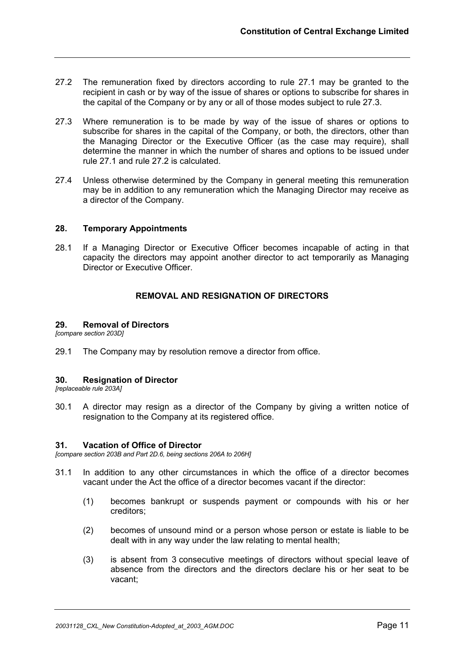- 27.2 The remuneration fixed by directors according to rule 27.1 may be granted to the recipient in cash or by way of the issue of shares or options to subscribe for shares in the capital of the Company or by any or all of those modes subject to rule 27.3.
- 27.3 Where remuneration is to be made by way of the issue of shares or options to subscribe for shares in the capital of the Company, or both, the directors, other than the Managing Director or the Executive Officer (as the case may require), shall determine the manner in which the number of shares and options to be issued under rule 27.1 and rule 27.2 is calculated.
- 27.4 Unless otherwise determined by the Company in general meeting this remuneration may be in addition to any remuneration which the Managing Director may receive as a director of the Company.

## **28. Temporary Appointments**

28.1 If a Managing Director or Executive Officer becomes incapable of acting in that capacity the directors may appoint another director to act temporarily as Managing Director or Executive Officer.

## **REMOVAL AND RESIGNATION OF DIRECTORS**

#### **29. Removal of Directors**

*[compare section 203D]*

29.1 The Company may by resolution remove a director from office.

## **30. Resignation of Director**

*[replaceable rule 203A]*

30.1 A director may resign as a director of the Company by giving a written notice of resignation to the Company at its registered office.

#### **31. Vacation of Office of Director**

*[compare section 203B and Part 2D.6, being sections 206A to 206H]*

- 31.1 In addition to any other circumstances in which the office of a director becomes vacant under the Act the office of a director becomes vacant if the director:
	- (1) becomes bankrupt or suspends payment or compounds with his or her creditors;
	- (2) becomes of unsound mind or a person whose person or estate is liable to be dealt with in any way under the law relating to mental health;
	- (3) is absent from 3 consecutive meetings of directors without special leave of absence from the directors and the directors declare his or her seat to be vacant;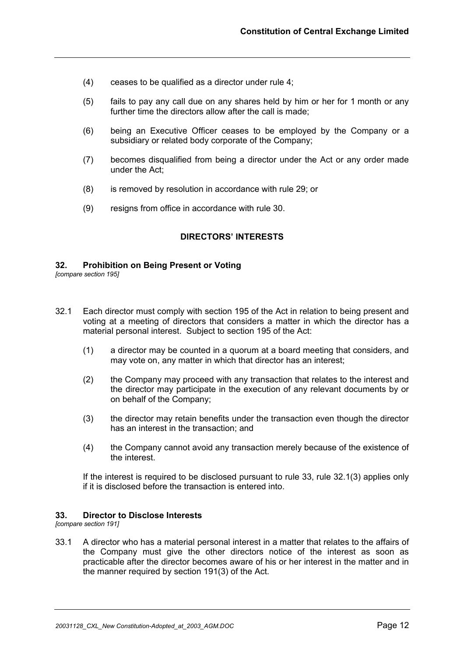- (4) ceases to be qualified as a director under rule 4;
- (5) fails to pay any call due on any shares held by him or her for 1 month or any further time the directors allow after the call is made;
- (6) being an Executive Officer ceases to be employed by the Company or a subsidiary or related body corporate of the Company;
- (7) becomes disqualified from being a director under the Act or any order made under the Act;
- (8) is removed by resolution in accordance with rule 29; or
- (9) resigns from office in accordance with rule 30.

## **DIRECTORS' INTERESTS**

#### **32. Prohibition on Being Present or Voting**

*[compare section 195]*

- 32.1 Each director must comply with section 195 of the Act in relation to being present and voting at a meeting of directors that considers a matter in which the director has a material personal interest. Subject to section 195 of the Act:
	- (1) a director may be counted in a quorum at a board meeting that considers, and may vote on, any matter in which that director has an interest;
	- (2) the Company may proceed with any transaction that relates to the interest and the director may participate in the execution of any relevant documents by or on behalf of the Company;
	- (3) the director may retain benefits under the transaction even though the director has an interest in the transaction; and
	- (4) the Company cannot avoid any transaction merely because of the existence of the interest.

If the interest is required to be disclosed pursuant to rule 33, rule 32.1(3) applies only if it is disclosed before the transaction is entered into.

#### **33. Director to Disclose Interests**

*[compare section 191]*

33.1 A director who has a material personal interest in a matter that relates to the affairs of the Company must give the other directors notice of the interest as soon as practicable after the director becomes aware of his or her interest in the matter and in the manner required by section 191(3) of the Act.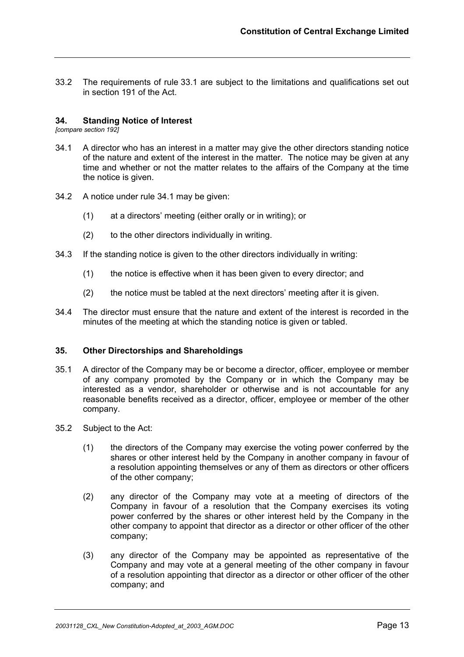33.2 The requirements of rule 33.1 are subject to the limitations and qualifications set out in section 191 of the Act.

## **34. Standing Notice of Interest**

*[compare section 192]* 

- 34.1 A director who has an interest in a matter may give the other directors standing notice of the nature and extent of the interest in the matter. The notice may be given at any time and whether or not the matter relates to the affairs of the Company at the time the notice is given.
- 34.2 A notice under rule 34.1 may be given:
	- (1) at a directors' meeting (either orally or in writing); or
	- (2) to the other directors individually in writing.
- 34.3 If the standing notice is given to the other directors individually in writing:
	- (1) the notice is effective when it has been given to every director; and
	- (2) the notice must be tabled at the next directors' meeting after it is given.
- 34.4 The director must ensure that the nature and extent of the interest is recorded in the minutes of the meeting at which the standing notice is given or tabled.

#### **35. Other Directorships and Shareholdings**

- 35.1 A director of the Company may be or become a director, officer, employee or member of any company promoted by the Company or in which the Company may be interested as a vendor, shareholder or otherwise and is not accountable for any reasonable benefits received as a director, officer, employee or member of the other company.
- 35.2 Subject to the Act:
	- (1) the directors of the Company may exercise the voting power conferred by the shares or other interest held by the Company in another company in favour of a resolution appointing themselves or any of them as directors or other officers of the other company;
	- (2) any director of the Company may vote at a meeting of directors of the Company in favour of a resolution that the Company exercises its voting power conferred by the shares or other interest held by the Company in the other company to appoint that director as a director or other officer of the other company;
	- (3) any director of the Company may be appointed as representative of the Company and may vote at a general meeting of the other company in favour of a resolution appointing that director as a director or other officer of the other company; and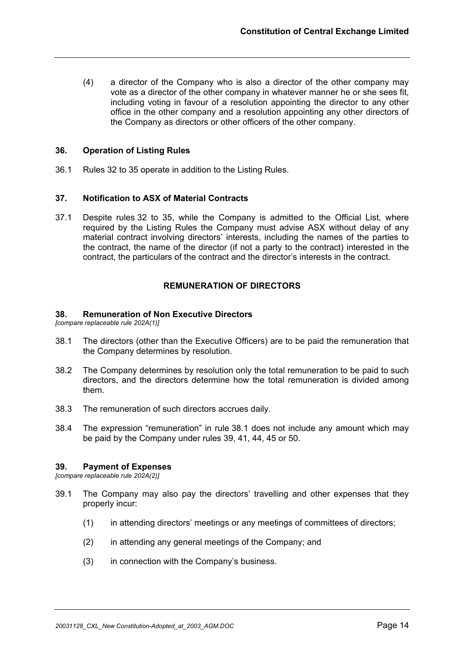(4) a director of the Company who is also a director of the other company may vote as a director of the other company in whatever manner he or she sees fit, including voting in favour of a resolution appointing the director to any other office in the other company and a resolution appointing any other directors of the Company as directors or other officers of the other company.

## **36. Operation of Listing Rules**

36.1 Rules 32 to 35 operate in addition to the Listing Rules.

## **37. Notification to ASX of Material Contracts**

37.1 Despite rules 32 to 35, while the Company is admitted to the Official List, where required by the Listing Rules the Company must advise ASX without delay of any material contract involving directors' interests, including the names of the parties to the contract, the name of the director (if not a party to the contract) interested in the contract, the particulars of the contract and the director's interests in the contract.

## **REMUNERATION OF DIRECTORS**

#### **38. Remuneration of Non Executive Directors**

*[compare replaceable rule 202A(1)]* 

- 38.1 The directors (other than the Executive Officers) are to be paid the remuneration that the Company determines by resolution.
- 38.2 The Company determines by resolution only the total remuneration to be paid to such directors, and the directors determine how the total remuneration is divided among them.
- 38.3 The remuneration of such directors accrues daily.
- 38.4 The expression "remuneration" in rule 38.1 does not include any amount which may be paid by the Company under rules 39, 41, 44, 45 or 50.

#### **39. Payment of Expenses**

*[compare replaceable rule 202A(2)]* 

- 39.1 The Company may also pay the directors' travelling and other expenses that they properly incur:
	- (1) in attending directors' meetings or any meetings of committees of directors;
	- (2) in attending any general meetings of the Company; and
	- (3) in connection with the Company's business.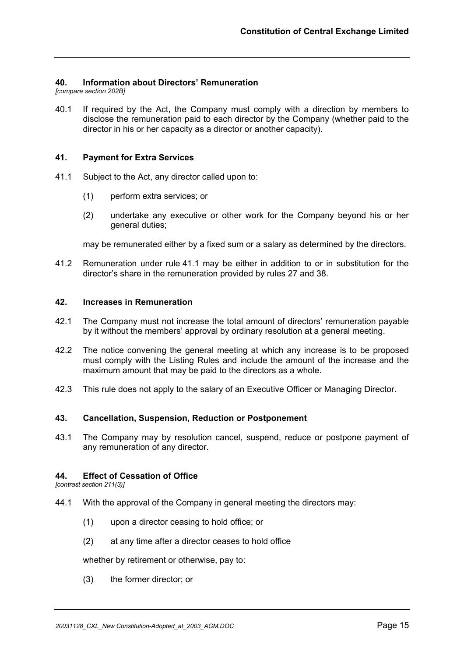## **40. Information about Directors' Remuneration**

*[compare section 202B]* 

40.1 If required by the Act, the Company must comply with a direction by members to disclose the remuneration paid to each director by the Company (whether paid to the director in his or her capacity as a director or another capacity).

#### **41. Payment for Extra Services**

- 41.1 Subject to the Act, any director called upon to:
	- (1) perform extra services; or
	- (2) undertake any executive or other work for the Company beyond his or her general duties;

may be remunerated either by a fixed sum or a salary as determined by the directors.

41.2 Remuneration under rule 41.1 may be either in addition to or in substitution for the director's share in the remuneration provided by rules 27 and 38.

#### **42. Increases in Remuneration**

- 42.1 The Company must not increase the total amount of directors' remuneration payable by it without the members' approval by ordinary resolution at a general meeting.
- 42.2 The notice convening the general meeting at which any increase is to be proposed must comply with the Listing Rules and include the amount of the increase and the maximum amount that may be paid to the directors as a whole.
- 42.3 This rule does not apply to the salary of an Executive Officer or Managing Director.

#### **43. Cancellation, Suspension, Reduction or Postponement**

43.1 The Company may by resolution cancel, suspend, reduce or postpone payment of any remuneration of any director.

## **44. Effect of Cessation of Office**

*[contrast section 211(3)]*

- 44.1 With the approval of the Company in general meeting the directors may:
	- (1) upon a director ceasing to hold office; or
	- (2) at any time after a director ceases to hold office

whether by retirement or otherwise, pay to:

(3) the former director; or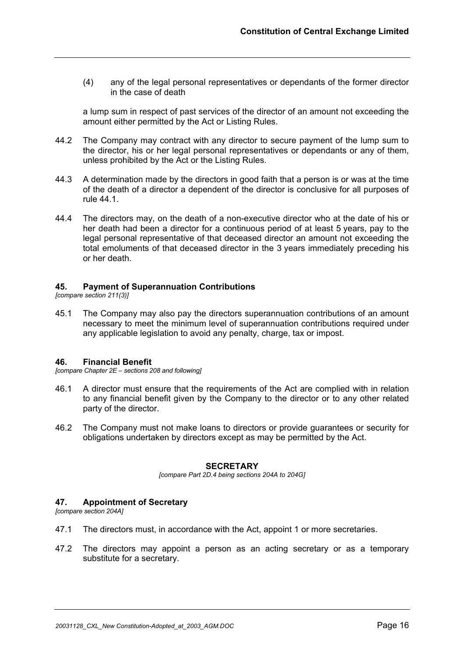(4) any of the legal personal representatives or dependants of the former director in the case of death

a lump sum in respect of past services of the director of an amount not exceeding the amount either permitted by the Act or Listing Rules.

- 44.2 The Company may contract with any director to secure payment of the lump sum to the director, his or her legal personal representatives or dependants or any of them, unless prohibited by the Act or the Listing Rules.
- 44.3 A determination made by the directors in good faith that a person is or was at the time of the death of a director a dependent of the director is conclusive for all purposes of rule 44.1.
- 44.4 The directors may, on the death of a non-executive director who at the date of his or her death had been a director for a continuous period of at least 5 years, pay to the legal personal representative of that deceased director an amount not exceeding the total emoluments of that deceased director in the 3 years immediately preceding his or her death.

## **45. Payment of Superannuation Contributions**

*[compare section 211(3)]* 

45.1 The Company may also pay the directors superannuation contributions of an amount necessary to meet the minimum level of superannuation contributions required under any applicable legislation to avoid any penalty, charge, tax or impost.

#### **46. Financial Benefit**

*[compare Chapter 2E – sections 208 and following]*

- 46.1 A director must ensure that the requirements of the Act are complied with in relation to any financial benefit given by the Company to the director or to any other related party of the director.
- 46.2 The Company must not make loans to directors or provide guarantees or security for obligations undertaken by directors except as may be permitted by the Act.

## **SECRETARY**

*[compare Part 2D.4 being sections 204A to 204G]* 

## **47. Appointment of Secretary**

*[compare section 204A]*

- 47.1 The directors must, in accordance with the Act, appoint 1 or more secretaries.
- 47.2 The directors may appoint a person as an acting secretary or as a temporary substitute for a secretary.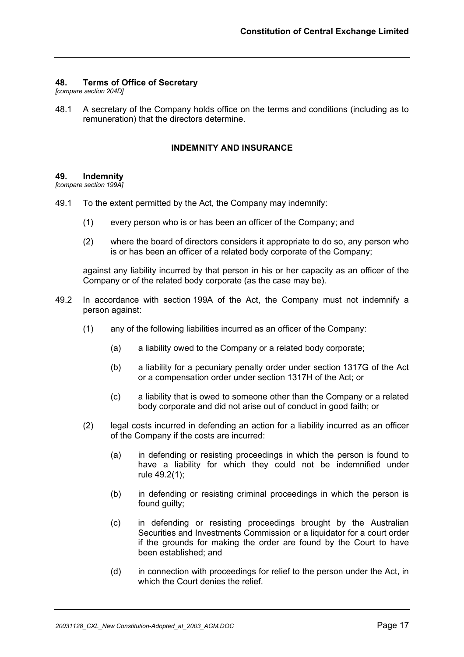## **48. Terms of Office of Secretary**

*[compare section 204D]*

48.1 A secretary of the Company holds office on the terms and conditions (including as to remuneration) that the directors determine.

## **INDEMNITY AND INSURANCE**

#### **49. Indemnity**

*[compare section 199A]*

- 49.1 To the extent permitted by the Act, the Company may indemnify:
	- (1) every person who is or has been an officer of the Company; and
	- (2) where the board of directors considers it appropriate to do so, any person who is or has been an officer of a related body corporate of the Company;

against any liability incurred by that person in his or her capacity as an officer of the Company or of the related body corporate (as the case may be).

- 49.2 In accordance with section 199A of the Act, the Company must not indemnify a person against:
	- (1) any of the following liabilities incurred as an officer of the Company:
		- (a) a liability owed to the Company or a related body corporate;
		- (b) a liability for a pecuniary penalty order under section 1317G of the Act or a compensation order under section 1317H of the Act; or
		- (c) a liability that is owed to someone other than the Company or a related body corporate and did not arise out of conduct in good faith; or
	- (2) legal costs incurred in defending an action for a liability incurred as an officer of the Company if the costs are incurred:
		- (a) in defending or resisting proceedings in which the person is found to have a liability for which they could not be indemnified under rule 49.2(1);
		- (b) in defending or resisting criminal proceedings in which the person is found guilty;
		- (c) in defending or resisting proceedings brought by the Australian Securities and Investments Commission or a liquidator for a court order if the grounds for making the order are found by the Court to have been established; and
		- (d) in connection with proceedings for relief to the person under the Act, in which the Court denies the relief.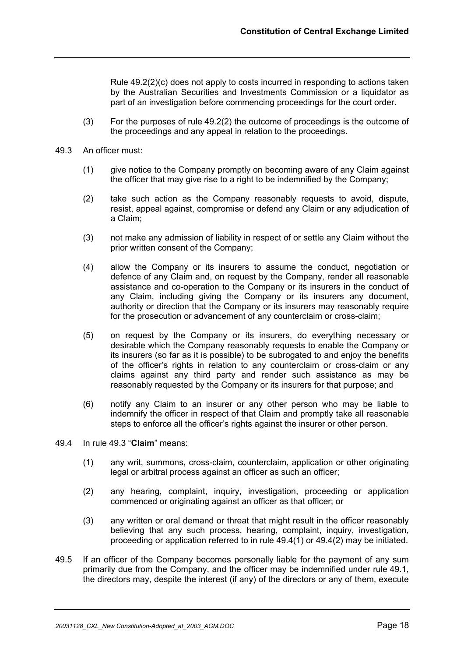Rule 49.2(2)(c) does not apply to costs incurred in responding to actions taken by the Australian Securities and Investments Commission or a liquidator as part of an investigation before commencing proceedings for the court order.

- (3) For the purposes of rule 49.2(2) the outcome of proceedings is the outcome of the proceedings and any appeal in relation to the proceedings.
- 49.3 An officer must:
	- (1) give notice to the Company promptly on becoming aware of any Claim against the officer that may give rise to a right to be indemnified by the Company;
	- (2) take such action as the Company reasonably requests to avoid, dispute, resist, appeal against, compromise or defend any Claim or any adjudication of a Claim;
	- (3) not make any admission of liability in respect of or settle any Claim without the prior written consent of the Company;
	- (4) allow the Company or its insurers to assume the conduct, negotiation or defence of any Claim and, on request by the Company, render all reasonable assistance and co-operation to the Company or its insurers in the conduct of any Claim, including giving the Company or its insurers any document, authority or direction that the Company or its insurers may reasonably require for the prosecution or advancement of any counterclaim or cross-claim;
	- (5) on request by the Company or its insurers, do everything necessary or desirable which the Company reasonably requests to enable the Company or its insurers (so far as it is possible) to be subrogated to and enjoy the benefits of the officer's rights in relation to any counterclaim or cross-claim or any claims against any third party and render such assistance as may be reasonably requested by the Company or its insurers for that purpose; and
	- (6) notify any Claim to an insurer or any other person who may be liable to indemnify the officer in respect of that Claim and promptly take all reasonable steps to enforce all the officer's rights against the insurer or other person.
- 49.4 In rule 49.3 "**Claim**" means:
	- (1) any writ, summons, cross-claim, counterclaim, application or other originating legal or arbitral process against an officer as such an officer;
	- (2) any hearing, complaint, inquiry, investigation, proceeding or application commenced or originating against an officer as that officer; or
	- (3) any written or oral demand or threat that might result in the officer reasonably believing that any such process, hearing, complaint, inquiry, investigation, proceeding or application referred to in rule 49.4(1) or 49.4(2) may be initiated.
- 49.5 If an officer of the Company becomes personally liable for the payment of any sum primarily due from the Company, and the officer may be indemnified under rule 49.1, the directors may, despite the interest (if any) of the directors or any of them, execute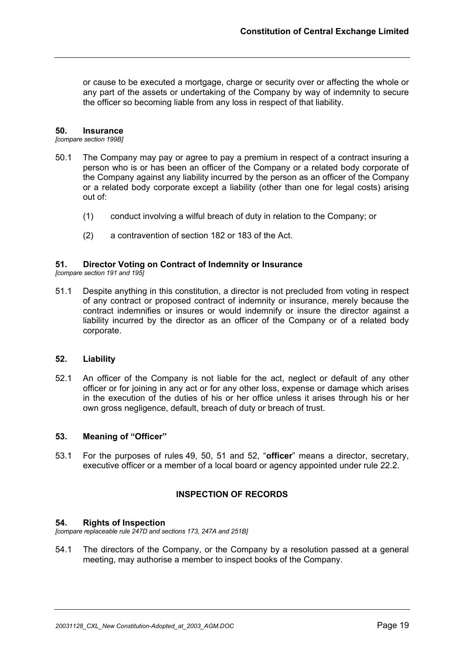or cause to be executed a mortgage, charge or security over or affecting the whole or any part of the assets or undertaking of the Company by way of indemnity to secure the officer so becoming liable from any loss in respect of that liability.

#### **50. Insurance**

*[compare section 199B]*

- 50.1 The Company may pay or agree to pay a premium in respect of a contract insuring a person who is or has been an officer of the Company or a related body corporate of the Company against any liability incurred by the person as an officer of the Company or a related body corporate except a liability (other than one for legal costs) arising out of:
	- (1) conduct involving a wilful breach of duty in relation to the Company; or
	- (2) a contravention of section 182 or 183 of the Act.

## **51. Director Voting on Contract of Indemnity or Insurance**

*[compare section 191 and 195]*

51.1 Despite anything in this constitution, a director is not precluded from voting in respect of any contract or proposed contract of indemnity or insurance, merely because the contract indemnifies or insures or would indemnify or insure the director against a liability incurred by the director as an officer of the Company or of a related body corporate.

#### **52. Liability**

52.1 An officer of the Company is not liable for the act, neglect or default of any other officer or for joining in any act or for any other loss, expense or damage which arises in the execution of the duties of his or her office unless it arises through his or her own gross negligence, default, breach of duty or breach of trust.

## **53. Meaning of "Officer"**

53.1 For the purposes of rules 49, 50, 51 and 52, "**officer**" means a director, secretary, executive officer or a member of a local board or agency appointed under rule 22.2.

## **INSPECTION OF RECORDS**

#### **54. Rights of Inspection**

*[compare replaceable rule 247D and sections 173, 247A and 251B]*

54.1 The directors of the Company, or the Company by a resolution passed at a general meeting, may authorise a member to inspect books of the Company.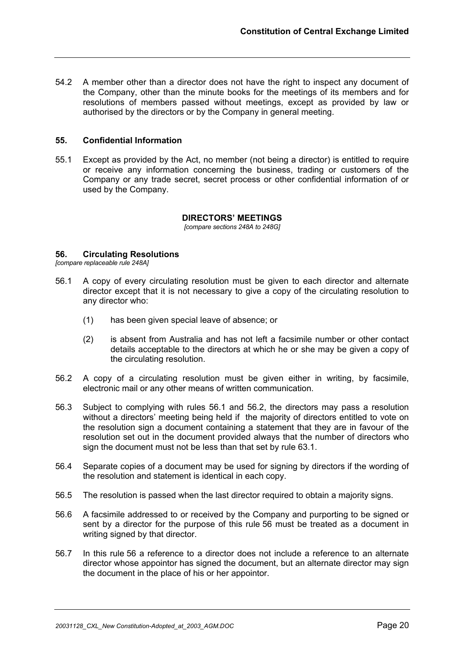54.2 A member other than a director does not have the right to inspect any document of the Company, other than the minute books for the meetings of its members and for resolutions of members passed without meetings, except as provided by law or authorised by the directors or by the Company in general meeting.

## **55. Confidential Information**

55.1 Except as provided by the Act, no member (not being a director) is entitled to require or receive any information concerning the business, trading or customers of the Company or any trade secret, secret process or other confidential information of or used by the Company.

## **DIRECTORS' MEETINGS**

*[compare sections 248A to 248G]*

## **56. Circulating Resolutions**

*[compare replaceable rule 248A]*

- 56.1 A copy of every circulating resolution must be given to each director and alternate director except that it is not necessary to give a copy of the circulating resolution to any director who:
	- (1) has been given special leave of absence; or
	- (2) is absent from Australia and has not left a facsimile number or other contact details acceptable to the directors at which he or she may be given a copy of the circulating resolution.
- 56.2 A copy of a circulating resolution must be given either in writing, by facsimile, electronic mail or any other means of written communication.
- 56.3 Subject to complying with rules 56.1 and 56.2, the directors may pass a resolution without a directors' meeting being held if the majority of directors entitled to vote on the resolution sign a document containing a statement that they are in favour of the resolution set out in the document provided always that the number of directors who sign the document must not be less than that set by rule 63.1.
- 56.4 Separate copies of a document may be used for signing by directors if the wording of the resolution and statement is identical in each copy.
- 56.5 The resolution is passed when the last director required to obtain a majority signs.
- 56.6 A facsimile addressed to or received by the Company and purporting to be signed or sent by a director for the purpose of this rule 56 must be treated as a document in writing signed by that director.
- 56.7 In this rule 56 a reference to a director does not include a reference to an alternate director whose appointor has signed the document, but an alternate director may sign the document in the place of his or her appointor.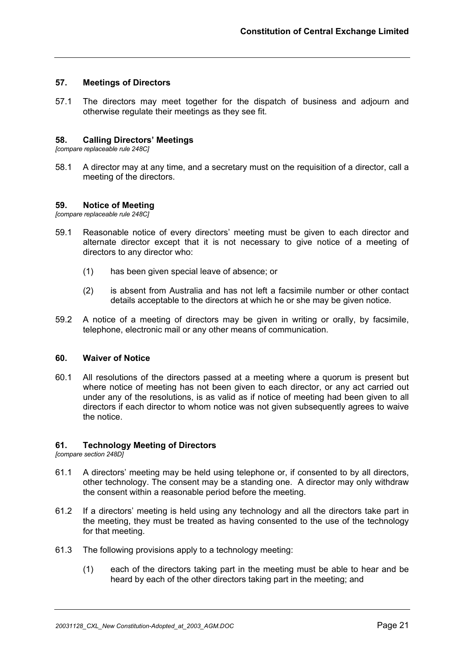## **57. Meetings of Directors**

57.1 The directors may meet together for the dispatch of business and adjourn and otherwise regulate their meetings as they see fit.

#### **58. Calling Directors' Meetings**

*[compare replaceable rule 248C]*

58.1 A director may at any time, and a secretary must on the requisition of a director, call a meeting of the directors.

#### **59. Notice of Meeting**

*[compare replaceable rule 248C]*

- 59.1 Reasonable notice of every directors' meeting must be given to each director and alternate director except that it is not necessary to give notice of a meeting of directors to any director who:
	- (1) has been given special leave of absence; or
	- (2) is absent from Australia and has not left a facsimile number or other contact details acceptable to the directors at which he or she may be given notice.
- 59.2 A notice of a meeting of directors may be given in writing or orally, by facsimile, telephone, electronic mail or any other means of communication.

#### **60. Waiver of Notice**

60.1 All resolutions of the directors passed at a meeting where a quorum is present but where notice of meeting has not been given to each director, or any act carried out under any of the resolutions, is as valid as if notice of meeting had been given to all directors if each director to whom notice was not given subsequently agrees to waive the notice.

#### **61. Technology Meeting of Directors**

*[compare section 248D]*

- 61.1 A directors' meeting may be held using telephone or, if consented to by all directors, other technology. The consent may be a standing one. A director may only withdraw the consent within a reasonable period before the meeting.
- 61.2 If a directors' meeting is held using any technology and all the directors take part in the meeting, they must be treated as having consented to the use of the technology for that meeting.
- 61.3 The following provisions apply to a technology meeting:
	- (1) each of the directors taking part in the meeting must be able to hear and be heard by each of the other directors taking part in the meeting; and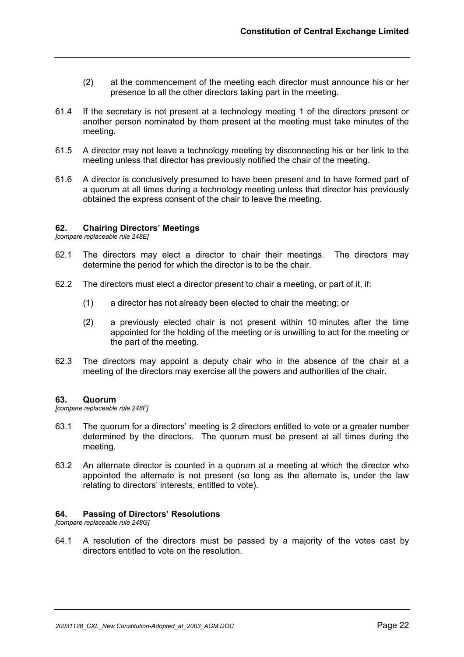- (2) at the commencement of the meeting each director must announce his or her presence to all the other directors taking part in the meeting.
- 61.4 If the secretary is not present at a technology meeting 1 of the directors present or another person nominated by them present at the meeting must take minutes of the meeting.
- 61.5 A director may not leave a technology meeting by disconnecting his or her link to the meeting unless that director has previously notified the chair of the meeting.
- 61.6 A director is conclusively presumed to have been present and to have formed part of a quorum at all times during a technology meeting unless that director has previously obtained the express consent of the chair to leave the meeting.

## **62. Chairing Directors' Meetings**

*[compare replaceable rule 248E]*

- 62.1 The directors may elect a director to chair their meetings. The directors may determine the period for which the director is to be the chair.
- 62.2 The directors must elect a director present to chair a meeting, or part of it, if:
	- (1) a director has not already been elected to chair the meeting; or
	- (2) a previously elected chair is not present within 10 minutes after the time appointed for the holding of the meeting or is unwilling to act for the meeting or the part of the meeting.
- 62.3 The directors may appoint a deputy chair who in the absence of the chair at a meeting of the directors may exercise all the powers and authorities of the chair.

#### **63. Quorum**

*[compare replaceable rule 248F]*

- 63.1 The quorum for a directors' meeting is 2 directors entitled to vote or a greater number determined by the directors. The quorum must be present at all times during the meeting.
- 63.2 An alternate director is counted in a quorum at a meeting at which the director who appointed the alternate is not present (so long as the alternate is, under the law relating to directors' interests, entitled to vote).

#### **64. Passing of Directors' Resolutions**

*[compare replaceable rule 248G]*

64.1 A resolution of the directors must be passed by a majority of the votes cast by directors entitled to vote on the resolution.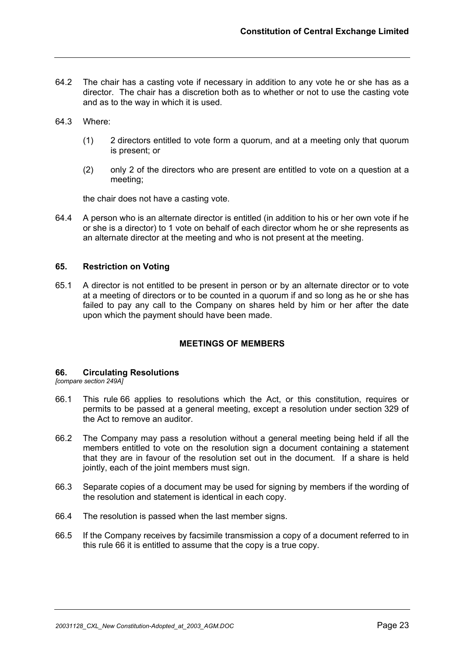- 64.2 The chair has a casting vote if necessary in addition to any vote he or she has as a director. The chair has a discretion both as to whether or not to use the casting vote and as to the way in which it is used.
- 64.3 Where:
	- (1) 2 directors entitled to vote form a quorum, and at a meeting only that quorum is present; or
	- (2) only 2 of the directors who are present are entitled to vote on a question at a meeting;

the chair does not have a casting vote.

64.4 A person who is an alternate director is entitled (in addition to his or her own vote if he or she is a director) to 1 vote on behalf of each director whom he or she represents as an alternate director at the meeting and who is not present at the meeting.

#### **65. Restriction on Voting**

65.1 A director is not entitled to be present in person or by an alternate director or to vote at a meeting of directors or to be counted in a quorum if and so long as he or she has failed to pay any call to the Company on shares held by him or her after the date upon which the payment should have been made.

#### **MEETINGS OF MEMBERS**

#### **66. Circulating Resolutions**

*[compare section 249A]*

- 66.1 This rule 66 applies to resolutions which the Act, or this constitution, requires or permits to be passed at a general meeting, except a resolution under section 329 of the Act to remove an auditor.
- 66.2 The Company may pass a resolution without a general meeting being held if all the members entitled to vote on the resolution sign a document containing a statement that they are in favour of the resolution set out in the document. If a share is held jointly, each of the joint members must sign.
- 66.3 Separate copies of a document may be used for signing by members if the wording of the resolution and statement is identical in each copy.
- 66.4 The resolution is passed when the last member signs.
- 66.5 If the Company receives by facsimile transmission a copy of a document referred to in this rule 66 it is entitled to assume that the copy is a true copy.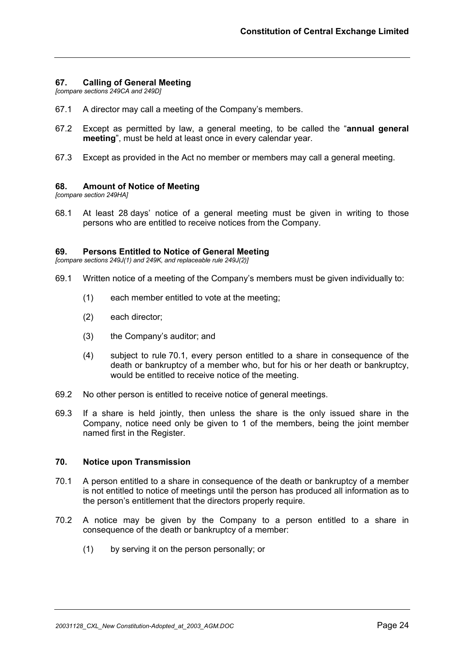## **67. Calling of General Meeting**

*[compare sections 249CA and 249D]*

- 67.1 A director may call a meeting of the Company's members.
- 67.2 Except as permitted by law, a general meeting, to be called the "**annual general meeting**", must be held at least once in every calendar year.
- 67.3 Except as provided in the Act no member or members may call a general meeting.

#### **68. Amount of Notice of Meeting**

*[compare section 249HA]*

68.1 At least 28 days' notice of a general meeting must be given in writing to those persons who are entitled to receive notices from the Company.

## **69. Persons Entitled to Notice of General Meeting**

*[compare sections 249J(1) and 249K, and replaceable rule 249J(2)]*

- 69.1 Written notice of a meeting of the Company's members must be given individually to:
	- (1) each member entitled to vote at the meeting;
	- (2) each director;
	- (3) the Company's auditor; and
	- (4) subject to rule 70.1, every person entitled to a share in consequence of the death or bankruptcy of a member who, but for his or her death or bankruptcy, would be entitled to receive notice of the meeting.
- 69.2 No other person is entitled to receive notice of general meetings.
- 69.3 If a share is held jointly, then unless the share is the only issued share in the Company, notice need only be given to 1 of the members, being the joint member named first in the Register.

#### **70. Notice upon Transmission**

- 70.1 A person entitled to a share in consequence of the death or bankruptcy of a member is not entitled to notice of meetings until the person has produced all information as to the person's entitlement that the directors properly require.
- 70.2 A notice may be given by the Company to a person entitled to a share in consequence of the death or bankruptcy of a member:
	- (1) by serving it on the person personally; or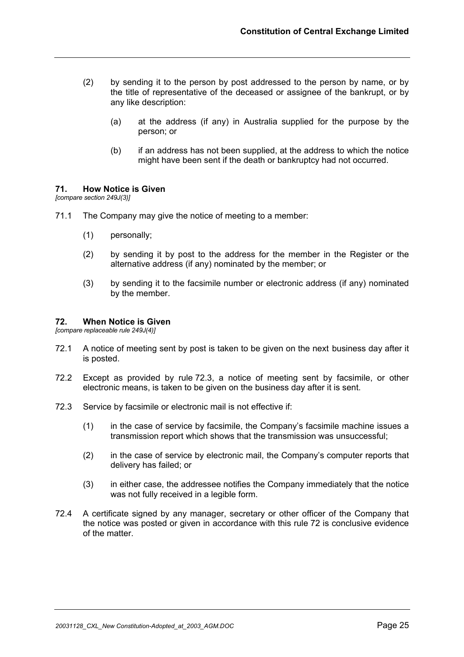- (2) by sending it to the person by post addressed to the person by name, or by the title of representative of the deceased or assignee of the bankrupt, or by any like description:
	- (a) at the address (if any) in Australia supplied for the purpose by the person; or
	- (b) if an address has not been supplied, at the address to which the notice might have been sent if the death or bankruptcy had not occurred.

## **71. How Notice is Given**

*[compare section 249J(3)]*

- 71.1 The Company may give the notice of meeting to a member:
	- (1) personally;
	- (2) by sending it by post to the address for the member in the Register or the alternative address (if any) nominated by the member; or
	- (3) by sending it to the facsimile number or electronic address (if any) nominated by the member.

## **72. When Notice is Given**

*[compare replaceable rule 249J(4)]*

- 72.1 A notice of meeting sent by post is taken to be given on the next business day after it is posted.
- 72.2 Except as provided by rule 72.3, a notice of meeting sent by facsimile, or other electronic means, is taken to be given on the business day after it is sent.
- 72.3 Service by facsimile or electronic mail is not effective if:
	- (1) in the case of service by facsimile, the Company's facsimile machine issues a transmission report which shows that the transmission was unsuccessful;
	- (2) in the case of service by electronic mail, the Company's computer reports that delivery has failed; or
	- (3) in either case, the addressee notifies the Company immediately that the notice was not fully received in a legible form.
- 72.4 A certificate signed by any manager, secretary or other officer of the Company that the notice was posted or given in accordance with this rule 72 is conclusive evidence of the matter.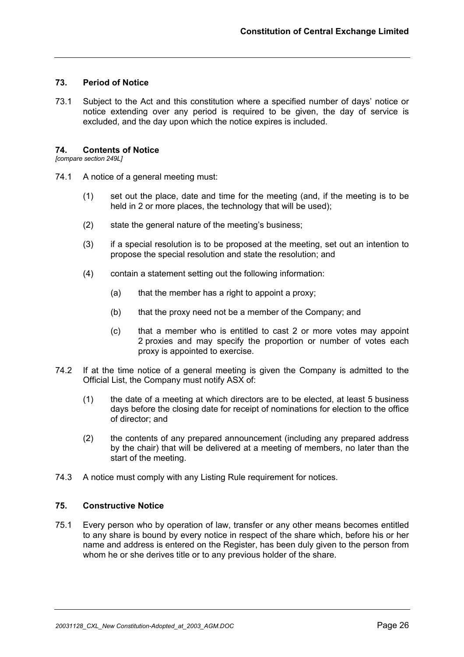## **73. Period of Notice**

73.1 Subject to the Act and this constitution where a specified number of days' notice or notice extending over any period is required to be given, the day of service is excluded, and the day upon which the notice expires is included.

## **74. Contents of Notice**

*[compare section 249L]*

- 74.1 A notice of a general meeting must:
	- (1) set out the place, date and time for the meeting (and, if the meeting is to be held in 2 or more places, the technology that will be used);
	- (2) state the general nature of the meeting's business;
	- (3) if a special resolution is to be proposed at the meeting, set out an intention to propose the special resolution and state the resolution; and
	- (4) contain a statement setting out the following information:
		- (a) that the member has a right to appoint a proxy;
		- (b) that the proxy need not be a member of the Company; and
		- (c) that a member who is entitled to cast 2 or more votes may appoint 2 proxies and may specify the proportion or number of votes each proxy is appointed to exercise.
- 74.2 If at the time notice of a general meeting is given the Company is admitted to the Official List, the Company must notify ASX of:
	- (1) the date of a meeting at which directors are to be elected, at least 5 business days before the closing date for receipt of nominations for election to the office of director; and
	- (2) the contents of any prepared announcement (including any prepared address by the chair) that will be delivered at a meeting of members, no later than the start of the meeting.
- 74.3 A notice must comply with any Listing Rule requirement for notices.

## **75. Constructive Notice**

75.1 Every person who by operation of law, transfer or any other means becomes entitled to any share is bound by every notice in respect of the share which, before his or her name and address is entered on the Register, has been duly given to the person from whom he or she derives title or to any previous holder of the share.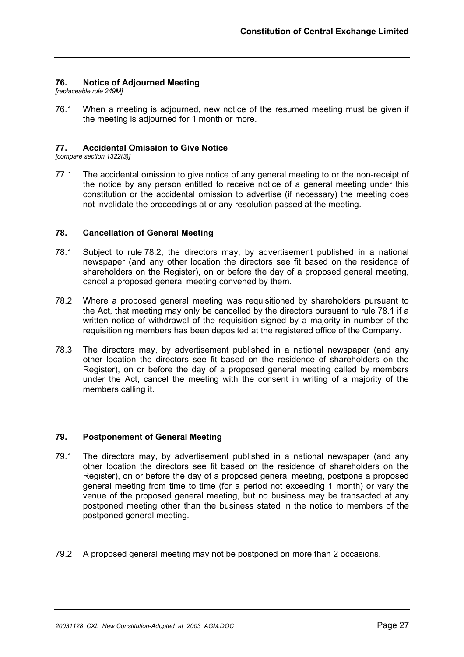## **76. Notice of Adjourned Meeting**

*[replaceable rule 249M]*

76.1 When a meeting is adjourned, new notice of the resumed meeting must be given if the meeting is adjourned for 1 month or more.

## **77. Accidental Omission to Give Notice**

*[compare section 1322(3)]*

77.1 The accidental omission to give notice of any general meeting to or the non-receipt of the notice by any person entitled to receive notice of a general meeting under this constitution or the accidental omission to advertise (if necessary) the meeting does not invalidate the proceedings at or any resolution passed at the meeting.

## **78. Cancellation of General Meeting**

- 78.1 Subject to rule 78.2, the directors may, by advertisement published in a national newspaper (and any other location the directors see fit based on the residence of shareholders on the Register), on or before the day of a proposed general meeting, cancel a proposed general meeting convened by them.
- 78.2 Where a proposed general meeting was requisitioned by shareholders pursuant to the Act, that meeting may only be cancelled by the directors pursuant to rule 78.1 if a written notice of withdrawal of the requisition signed by a majority in number of the requisitioning members has been deposited at the registered office of the Company.
- 78.3 The directors may, by advertisement published in a national newspaper (and any other location the directors see fit based on the residence of shareholders on the Register), on or before the day of a proposed general meeting called by members under the Act, cancel the meeting with the consent in writing of a majority of the members calling it.

## **79. Postponement of General Meeting**

- 79.1 The directors may, by advertisement published in a national newspaper (and any other location the directors see fit based on the residence of shareholders on the Register), on or before the day of a proposed general meeting, postpone a proposed general meeting from time to time (for a period not exceeding 1 month) or vary the venue of the proposed general meeting, but no business may be transacted at any postponed meeting other than the business stated in the notice to members of the postponed general meeting.
- 79.2 A proposed general meeting may not be postponed on more than 2 occasions.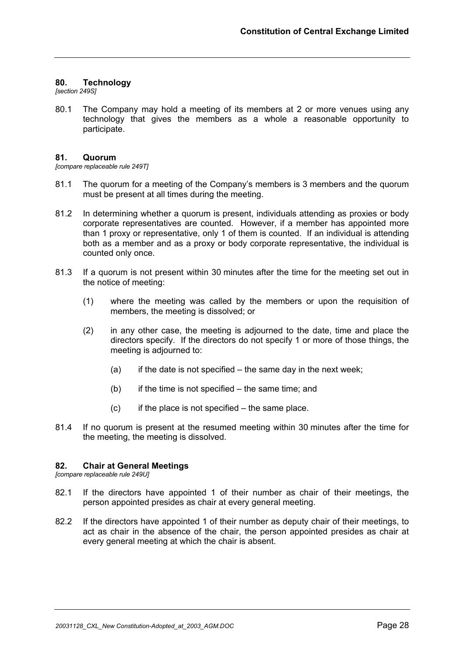## **80. Technology**

*[section 249S]*

80.1 The Company may hold a meeting of its members at 2 or more venues using any technology that gives the members as a whole a reasonable opportunity to participate.

#### **81. Quorum**

*[compare replaceable rule 249T]*

- 81.1 The quorum for a meeting of the Company's members is 3 members and the quorum must be present at all times during the meeting.
- 81.2 In determining whether a quorum is present, individuals attending as proxies or body corporate representatives are counted. However, if a member has appointed more than 1 proxy or representative, only 1 of them is counted. If an individual is attending both as a member and as a proxy or body corporate representative, the individual is counted only once.
- 81.3 If a quorum is not present within 30 minutes after the time for the meeting set out in the notice of meeting:
	- (1) where the meeting was called by the members or upon the requisition of members, the meeting is dissolved; or
	- (2) in any other case, the meeting is adjourned to the date, time and place the directors specify. If the directors do not specify 1 or more of those things, the meeting is adjourned to:
		- $(a)$  if the date is not specified the same day in the next week;
		- $(b)$  if the time is not specified the same time; and
		- $(c)$  if the place is not specified the same place.
- 81.4 If no quorum is present at the resumed meeting within 30 minutes after the time for the meeting, the meeting is dissolved.

## **82. Chair at General Meetings**

*[compare replaceable rule 249U]*

- 82.1 If the directors have appointed 1 of their number as chair of their meetings, the person appointed presides as chair at every general meeting.
- 82.2 If the directors have appointed 1 of their number as deputy chair of their meetings, to act as chair in the absence of the chair, the person appointed presides as chair at every general meeting at which the chair is absent.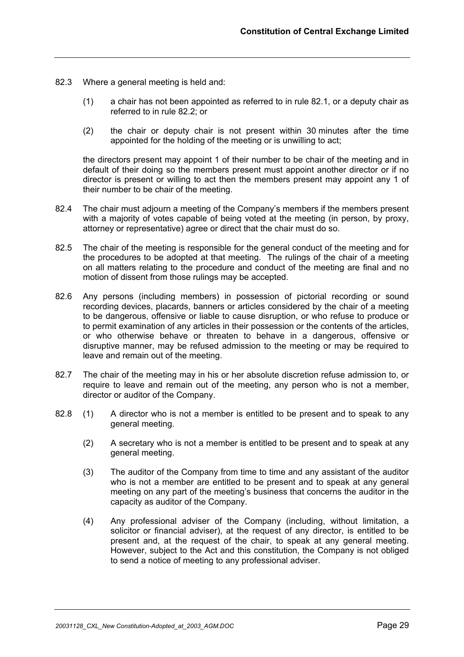- 82.3 Where a general meeting is held and:
	- (1) a chair has not been appointed as referred to in rule 82.1, or a deputy chair as referred to in rule 82.2; or
	- (2) the chair or deputy chair is not present within 30 minutes after the time appointed for the holding of the meeting or is unwilling to act;

the directors present may appoint 1 of their number to be chair of the meeting and in default of their doing so the members present must appoint another director or if no director is present or willing to act then the members present may appoint any 1 of their number to be chair of the meeting.

- 82.4 The chair must adjourn a meeting of the Company's members if the members present with a majority of votes capable of being voted at the meeting (in person, by proxy, attorney or representative) agree or direct that the chair must do so.
- 82.5 The chair of the meeting is responsible for the general conduct of the meeting and for the procedures to be adopted at that meeting. The rulings of the chair of a meeting on all matters relating to the procedure and conduct of the meeting are final and no motion of dissent from those rulings may be accepted.
- 82.6 Any persons (including members) in possession of pictorial recording or sound recording devices, placards, banners or articles considered by the chair of a meeting to be dangerous, offensive or liable to cause disruption, or who refuse to produce or to permit examination of any articles in their possession or the contents of the articles, or who otherwise behave or threaten to behave in a dangerous, offensive or disruptive manner, may be refused admission to the meeting or may be required to leave and remain out of the meeting.
- 82.7 The chair of the meeting may in his or her absolute discretion refuse admission to, or require to leave and remain out of the meeting, any person who is not a member, director or auditor of the Company.
- 82.8 (1) A director who is not a member is entitled to be present and to speak to any general meeting.
	- (2) A secretary who is not a member is entitled to be present and to speak at any general meeting.
	- (3) The auditor of the Company from time to time and any assistant of the auditor who is not a member are entitled to be present and to speak at any general meeting on any part of the meeting's business that concerns the auditor in the capacity as auditor of the Company.
	- (4) Any professional adviser of the Company (including, without limitation, a solicitor or financial adviser), at the request of any director, is entitled to be present and, at the request of the chair, to speak at any general meeting. However, subject to the Act and this constitution, the Company is not obliged to send a notice of meeting to any professional adviser.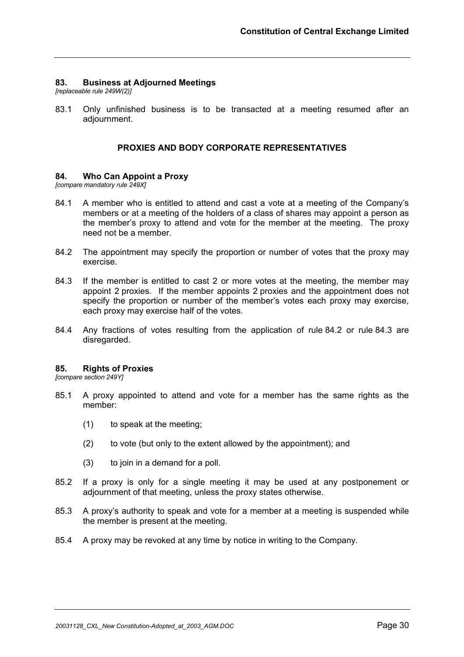## **83. Business at Adjourned Meetings**

*[replaceable rule 249W(2)]*

83.1 Only unfinished business is to be transacted at a meeting resumed after an adjournment.

## **PROXIES AND BODY CORPORATE REPRESENTATIVES**

#### **84. Who Can Appoint a Proxy**

*[compare mandatory rule 249X]*

- 84.1 A member who is entitled to attend and cast a vote at a meeting of the Company's members or at a meeting of the holders of a class of shares may appoint a person as the member's proxy to attend and vote for the member at the meeting. The proxy need not be a member.
- 84.2 The appointment may specify the proportion or number of votes that the proxy may exercise.
- 84.3 If the member is entitled to cast 2 or more votes at the meeting, the member may appoint 2 proxies. If the member appoints 2 proxies and the appointment does not specify the proportion or number of the member's votes each proxy may exercise, each proxy may exercise half of the votes.
- 84.4 Any fractions of votes resulting from the application of rule 84.2 or rule 84.3 are disregarded.

#### **85. Rights of Proxies**

*[compare section 249Y]*

- 85.1 A proxy appointed to attend and vote for a member has the same rights as the member:
	- (1) to speak at the meeting;
	- (2) to vote (but only to the extent allowed by the appointment); and
	- (3) to join in a demand for a poll.
- 85.2 If a proxy is only for a single meeting it may be used at any postponement or adjournment of that meeting, unless the proxy states otherwise.
- 85.3 A proxy's authority to speak and vote for a member at a meeting is suspended while the member is present at the meeting.
- 85.4 A proxy may be revoked at any time by notice in writing to the Company.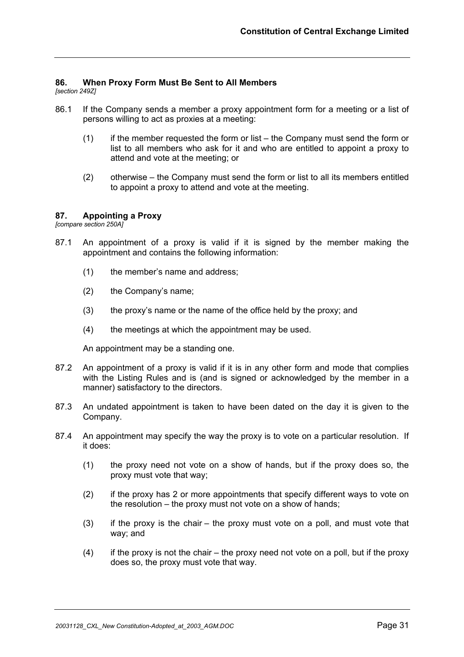## **86. When Proxy Form Must Be Sent to All Members**

*[section 249Z]*

- 86.1 If the Company sends a member a proxy appointment form for a meeting or a list of persons willing to act as proxies at a meeting:
	- (1) if the member requested the form or list the Company must send the form or list to all members who ask for it and who are entitled to appoint a proxy to attend and vote at the meeting; or
	- (2) otherwise the Company must send the form or list to all its members entitled to appoint a proxy to attend and vote at the meeting.

#### **87. Appointing a Proxy**

*[compare section 250A]*

- 87.1 An appointment of a proxy is valid if it is signed by the member making the appointment and contains the following information:
	- (1) the member's name and address;
	- (2) the Company's name;
	- (3) the proxy's name or the name of the office held by the proxy; and
	- (4) the meetings at which the appointment may be used.

An appointment may be a standing one.

- 87.2 An appointment of a proxy is valid if it is in any other form and mode that complies with the Listing Rules and is (and is signed or acknowledged by the member in a manner) satisfactory to the directors.
- 87.3 An undated appointment is taken to have been dated on the day it is given to the Company.
- 87.4 An appointment may specify the way the proxy is to vote on a particular resolution. If it does:
	- (1) the proxy need not vote on a show of hands, but if the proxy does so, the proxy must vote that way;
	- (2) if the proxy has 2 or more appointments that specify different ways to vote on the resolution – the proxy must not vote on a show of hands;
	- (3) if the proxy is the chair the proxy must vote on a poll, and must vote that way; and
	- $(4)$  if the proxy is not the chair the proxy need not vote on a poll, but if the proxy does so, the proxy must vote that way.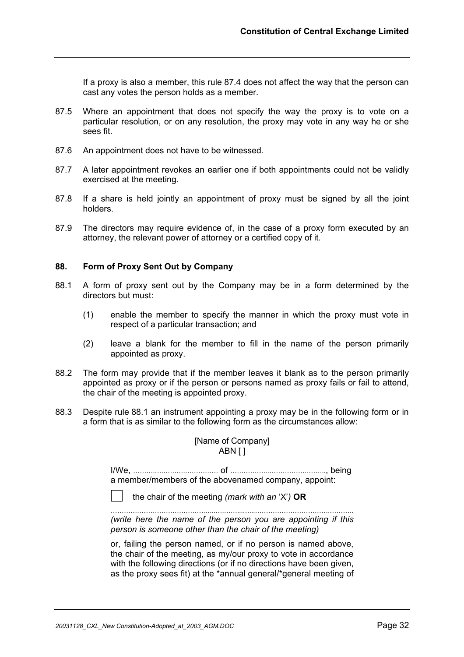If a proxy is also a member, this rule 87.4 does not affect the way that the person can cast any votes the person holds as a member.

- 87.5 Where an appointment that does not specify the way the proxy is to vote on a particular resolution, or on any resolution, the proxy may vote in any way he or she sees fit.
- 87.6 An appointment does not have to be witnessed.
- 87.7 A later appointment revokes an earlier one if both appointments could not be validly exercised at the meeting.
- 87.8 If a share is held jointly an appointment of proxy must be signed by all the joint holders.
- 87.9 The directors may require evidence of, in the case of a proxy form executed by an attorney, the relevant power of attorney or a certified copy of it.

#### **88. Form of Proxy Sent Out by Company**

- 88.1 A form of proxy sent out by the Company may be in a form determined by the directors but must:
	- (1) enable the member to specify the manner in which the proxy must vote in respect of a particular transaction; and
	- (2) leave a blank for the member to fill in the name of the person primarily appointed as proxy.
- 88.2 The form may provide that if the member leaves it blank as to the person primarily appointed as proxy or if the person or persons named as proxy fails or fail to attend, the chair of the meeting is appointed proxy.
- 88.3 Despite rule 88.1 an instrument appointing a proxy may be in the following form or in a form that is as similar to the following form as the circumstances allow:

## [Name of Company] ABN [ ]

I/We, ……….….……….…………… of ……………..……………….…….., being a member/members of the abovenamed company, appoint:

*(write here the name of the person you are appointing if this person is someone other than the chair of the meeting)* 

or, failing the person named, or if no person is named above, the chair of the meeting, as my/our proxy to vote in accordance with the following directions (or if no directions have been given, as the proxy sees fit) at the \*annual general/\*general meeting of

the chair of the meeting *(mark with an* 'X'*)* **OR**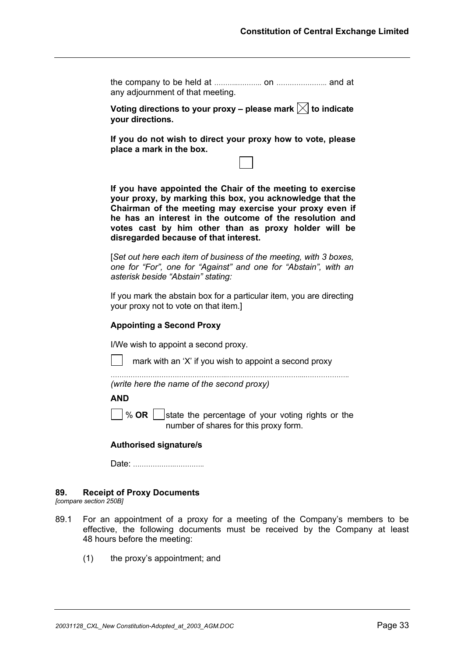the company to be held at ………..……….. on ………………….. and at any adjournment of that meeting.

Voting directions to your proxy – please mark  $\boxtimes$  to indicate **your directions.** 

**If you do not wish to direct your proxy how to vote, please place a mark in the box.** 

**If you have appointed the Chair of the meeting to exercise your proxy, by marking this box, you acknowledge that the Chairman of the meeting may exercise your proxy even if he has an interest in the outcome of the resolution and votes cast by him other than as proxy holder will be disregarded because of that interest.**

[*Set out here each item of business of the meeting, with 3 boxes, one for "For", one for "Against" and one for "Abstain", with an asterisk beside "Abstain" stating:* 

If you mark the abstain box for a particular item, you are directing your proxy not to vote on that item.]

## **Appointing a Second Proxy**

I/We wish to appoint a second proxy.

mark with an 'X' if you wish to appoint a second proxy

……………………………………………..……………………………...……………….. *(write here the name of the second proxy)* 

**AND**

 $\sqrt{\ }$  **OR**  $\|$  state the percentage of your voting rights or the number of shares for this proxy form.

#### **Authorised signature/s**

Date: ……………….…………..

#### **89. Receipt of Proxy Documents**

*[compare section 250B]*

- 89.1 For an appointment of a proxy for a meeting of the Company's members to be effective, the following documents must be received by the Company at least 48 hours before the meeting:
	- (1) the proxy's appointment; and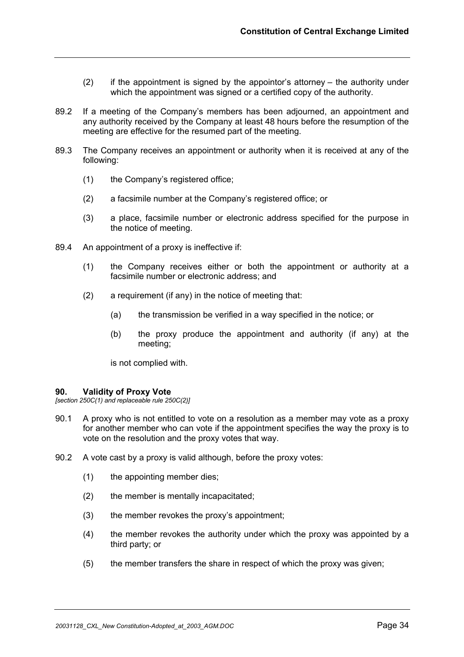- $(2)$  if the appointment is signed by the appointor's attorney the authority under which the appointment was signed or a certified copy of the authority.
- 89.2 If a meeting of the Company's members has been adjourned, an appointment and any authority received by the Company at least 48 hours before the resumption of the meeting are effective for the resumed part of the meeting.
- 89.3 The Company receives an appointment or authority when it is received at any of the following:
	- (1) the Company's registered office;
	- (2) a facsimile number at the Company's registered office; or
	- (3) a place, facsimile number or electronic address specified for the purpose in the notice of meeting.
- 89.4 An appointment of a proxy is ineffective if:
	- (1) the Company receives either or both the appointment or authority at a facsimile number or electronic address; and
	- (2) a requirement (if any) in the notice of meeting that:
		- (a) the transmission be verified in a way specified in the notice; or
		- (b) the proxy produce the appointment and authority (if any) at the meeting;

is not complied with.

#### **90. Validity of Proxy Vote**

*[section 250C(1) and replaceable rule 250C(2)]*

- 90.1 A proxy who is not entitled to vote on a resolution as a member may vote as a proxy for another member who can vote if the appointment specifies the way the proxy is to vote on the resolution and the proxy votes that way.
- 90.2 A vote cast by a proxy is valid although, before the proxy votes:
	- (1) the appointing member dies;
	- (2) the member is mentally incapacitated;
	- (3) the member revokes the proxy's appointment;
	- (4) the member revokes the authority under which the proxy was appointed by a third party; or
	- (5) the member transfers the share in respect of which the proxy was given;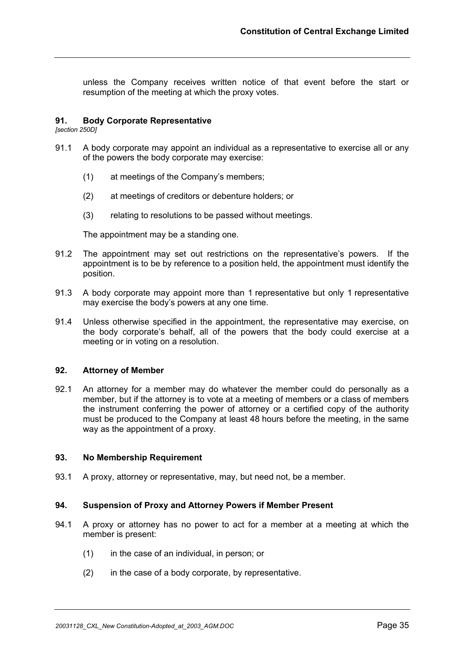unless the Company receives written notice of that event before the start or resumption of the meeting at which the proxy votes.

## **91. Body Corporate Representative**

*[section 250D]*

- 91.1 A body corporate may appoint an individual as a representative to exercise all or any of the powers the body corporate may exercise:
	- (1) at meetings of the Company's members;
	- (2) at meetings of creditors or debenture holders; or
	- (3) relating to resolutions to be passed without meetings.

The appointment may be a standing one.

- 91.2 The appointment may set out restrictions on the representative's powers. If the appointment is to be by reference to a position held, the appointment must identify the position.
- 91.3 A body corporate may appoint more than 1 representative but only 1 representative may exercise the body's powers at any one time.
- 91.4 Unless otherwise specified in the appointment, the representative may exercise, on the body corporate's behalf, all of the powers that the body could exercise at a meeting or in voting on a resolution.

#### **92. Attorney of Member**

92.1 An attorney for a member may do whatever the member could do personally as a member, but if the attorney is to vote at a meeting of members or a class of members the instrument conferring the power of attorney or a certified copy of the authority must be produced to the Company at least 48 hours before the meeting, in the same way as the appointment of a proxy.

#### **93. No Membership Requirement**

93.1 A proxy, attorney or representative, may, but need not, be a member.

#### **94. Suspension of Proxy and Attorney Powers if Member Present**

- 94.1 A proxy or attorney has no power to act for a member at a meeting at which the member is present:
	- (1) in the case of an individual, in person; or
	- (2) in the case of a body corporate, by representative.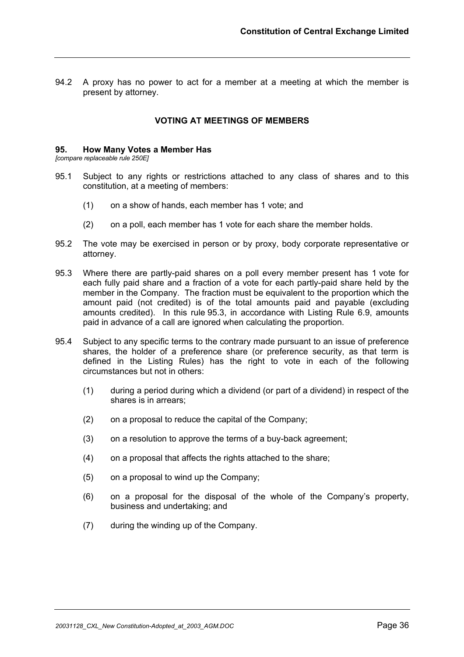94.2 A proxy has no power to act for a member at a meeting at which the member is present by attorney.

## **VOTING AT MEETINGS OF MEMBERS**

#### **95. How Many Votes a Member Has**

*[compare replaceable rule 250E]*

- 95.1 Subject to any rights or restrictions attached to any class of shares and to this constitution, at a meeting of members:
	- (1) on a show of hands, each member has 1 vote; and
	- (2) on a poll, each member has 1 vote for each share the member holds.
- 95.2 The vote may be exercised in person or by proxy, body corporate representative or attorney.
- 95.3 Where there are partly-paid shares on a poll every member present has 1 vote for each fully paid share and a fraction of a vote for each partly-paid share held by the member in the Company. The fraction must be equivalent to the proportion which the amount paid (not credited) is of the total amounts paid and payable (excluding amounts credited). In this rule 95.3, in accordance with Listing Rule 6.9, amounts paid in advance of a call are ignored when calculating the proportion.
- 95.4 Subject to any specific terms to the contrary made pursuant to an issue of preference shares, the holder of a preference share (or preference security, as that term is defined in the Listing Rules) has the right to vote in each of the following circumstances but not in others:
	- (1) during a period during which a dividend (or part of a dividend) in respect of the shares is in arrears;
	- (2) on a proposal to reduce the capital of the Company;
	- (3) on a resolution to approve the terms of a buy-back agreement;
	- (4) on a proposal that affects the rights attached to the share;
	- (5) on a proposal to wind up the Company;
	- (6) on a proposal for the disposal of the whole of the Company's property, business and undertaking; and
	- (7) during the winding up of the Company.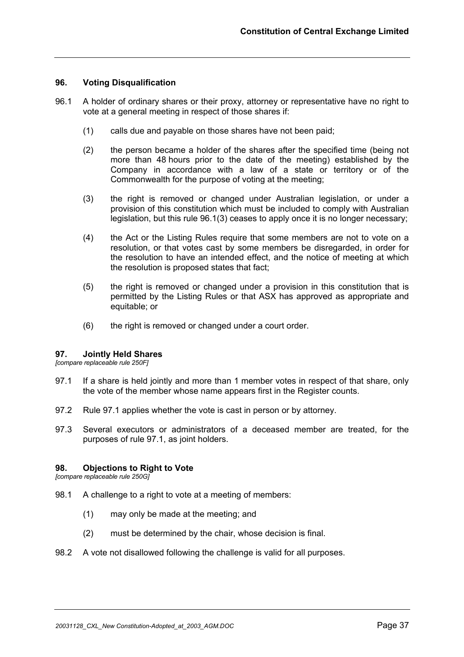## **96. Voting Disqualification**

- 96.1 A holder of ordinary shares or their proxy, attorney or representative have no right to vote at a general meeting in respect of those shares if:
	- (1) calls due and payable on those shares have not been paid;
	- (2) the person became a holder of the shares after the specified time (being not more than 48 hours prior to the date of the meeting) established by the Company in accordance with a law of a state or territory or of the Commonwealth for the purpose of voting at the meeting;
	- (3) the right is removed or changed under Australian legislation, or under a provision of this constitution which must be included to comply with Australian legislation, but this rule 96.1(3) ceases to apply once it is no longer necessary;
	- (4) the Act or the Listing Rules require that some members are not to vote on a resolution, or that votes cast by some members be disregarded, in order for the resolution to have an intended effect, and the notice of meeting at which the resolution is proposed states that fact;
	- (5) the right is removed or changed under a provision in this constitution that is permitted by the Listing Rules or that ASX has approved as appropriate and equitable; or
	- (6) the right is removed or changed under a court order.

#### **97. Jointly Held Shares**

*[compare replaceable rule 250F]*

- 97.1 If a share is held jointly and more than 1 member votes in respect of that share, only the vote of the member whose name appears first in the Register counts.
- 97.2 Rule 97.1 applies whether the vote is cast in person or by attorney.
- 97.3 Several executors or administrators of a deceased member are treated, for the purposes of rule 97.1, as joint holders.

#### **98. Objections to Right to Vote**

*[compare replaceable rule 250G]*

- 98.1 A challenge to a right to vote at a meeting of members:
	- (1) may only be made at the meeting; and
	- (2) must be determined by the chair, whose decision is final.
- 98.2 A vote not disallowed following the challenge is valid for all purposes.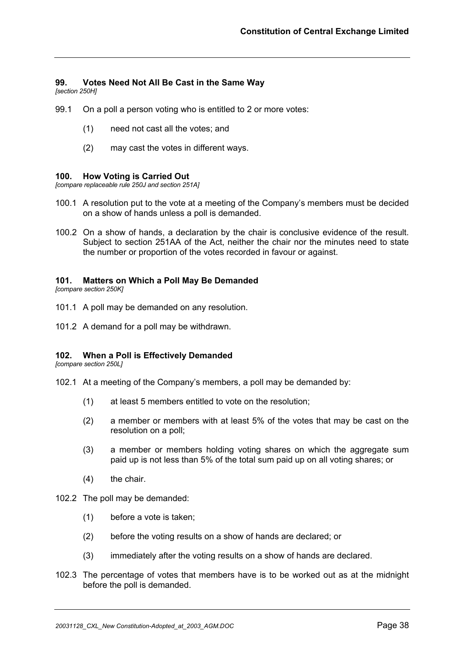## **99. Votes Need Not All Be Cast in the Same Way**

*[section 250H]*

- 99.1 On a poll a person voting who is entitled to 2 or more votes:
	- (1) need not cast all the votes; and
	- (2) may cast the votes in different ways.

#### **100. How Voting is Carried Out**

*[compare replaceable rule 250J and section 251A]*

- 100.1 A resolution put to the vote at a meeting of the Company's members must be decided on a show of hands unless a poll is demanded.
- 100.2 On a show of hands, a declaration by the chair is conclusive evidence of the result. Subject to section 251AA of the Act, neither the chair nor the minutes need to state the number or proportion of the votes recorded in favour or against.

## **101. Matters on Which a Poll May Be Demanded**

*[compare section 250K]*

- 101.1 A poll may be demanded on any resolution.
- 101.2 A demand for a poll may be withdrawn.

#### **102. When a Poll is Effectively Demanded**

*[compare section 250L]*

- 102.1 At a meeting of the Company's members, a poll may be demanded by:
	- (1) at least 5 members entitled to vote on the resolution;
	- (2) a member or members with at least 5% of the votes that may be cast on the resolution on a poll;
	- (3) a member or members holding voting shares on which the aggregate sum paid up is not less than 5% of the total sum paid up on all voting shares; or
	- (4) the chair.
- 102.2 The poll may be demanded:
	- (1) before a vote is taken;
	- (2) before the voting results on a show of hands are declared; or
	- (3) immediately after the voting results on a show of hands are declared.
- 102.3 The percentage of votes that members have is to be worked out as at the midnight before the poll is demanded.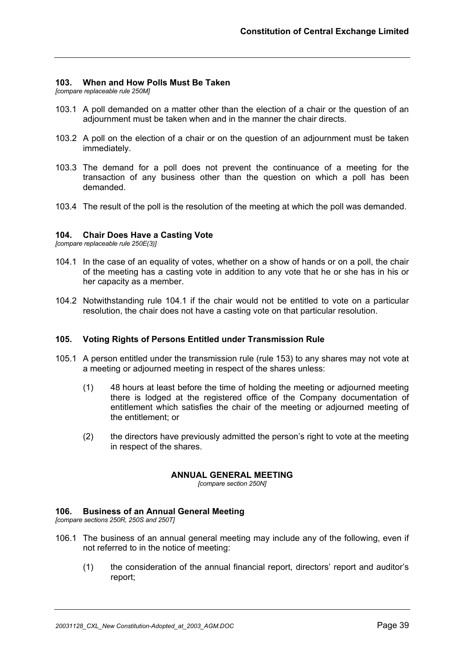## **103. When and How Polls Must Be Taken**

*[compare replaceable rule 250M]*

- 103.1 A poll demanded on a matter other than the election of a chair or the question of an adjournment must be taken when and in the manner the chair directs.
- 103.2 A poll on the election of a chair or on the question of an adjournment must be taken immediately.
- 103.3 The demand for a poll does not prevent the continuance of a meeting for the transaction of any business other than the question on which a poll has been demanded.
- 103.4 The result of the poll is the resolution of the meeting at which the poll was demanded.

## **104. Chair Does Have a Casting Vote**

*[compare replaceable rule 250E(3)]*

- 104.1 In the case of an equality of votes, whether on a show of hands or on a poll, the chair of the meeting has a casting vote in addition to any vote that he or she has in his or her capacity as a member.
- 104.2 Notwithstanding rule 104.1 if the chair would not be entitled to vote on a particular resolution, the chair does not have a casting vote on that particular resolution.

#### **105. Voting Rights of Persons Entitled under Transmission Rule**

- 105.1 A person entitled under the transmission rule (rule 153) to any shares may not vote at a meeting or adjourned meeting in respect of the shares unless:
	- (1) 48 hours at least before the time of holding the meeting or adjourned meeting there is lodged at the registered office of the Company documentation of entitlement which satisfies the chair of the meeting or adjourned meeting of the entitlement; or
	- (2) the directors have previously admitted the person's right to vote at the meeting in respect of the shares.

#### **ANNUAL GENERAL MEETING**

*[compare section 250N]*

#### **106. Business of an Annual General Meeting**

*[compare sections 250R, 250S and 250T]*

- 106.1 The business of an annual general meeting may include any of the following, even if not referred to in the notice of meeting:
	- (1) the consideration of the annual financial report, directors' report and auditor's report;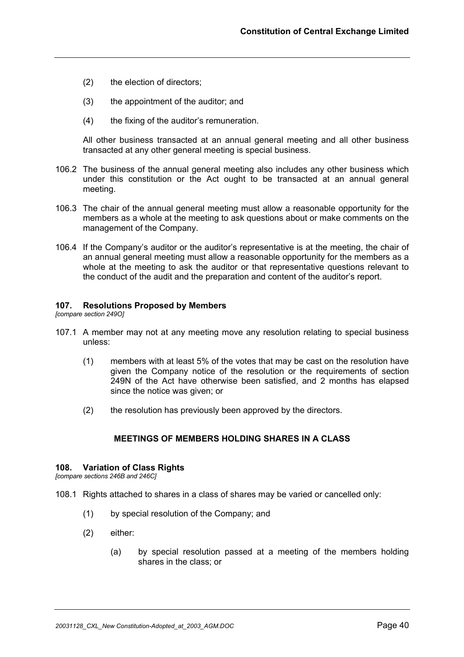- (2) the election of directors;
- (3) the appointment of the auditor; and
- (4) the fixing of the auditor's remuneration.

All other business transacted at an annual general meeting and all other business transacted at any other general meeting is special business.

- 106.2 The business of the annual general meeting also includes any other business which under this constitution or the Act ought to be transacted at an annual general meeting.
- 106.3 The chair of the annual general meeting must allow a reasonable opportunity for the members as a whole at the meeting to ask questions about or make comments on the management of the Company.
- 106.4 If the Company's auditor or the auditor's representative is at the meeting, the chair of an annual general meeting must allow a reasonable opportunity for the members as a whole at the meeting to ask the auditor or that representative questions relevant to the conduct of the audit and the preparation and content of the auditor's report.

#### **107. Resolutions Proposed by Members**

*[compare section 249O]*

- 107.1 A member may not at any meeting move any resolution relating to special business unless:
	- (1) members with at least 5% of the votes that may be cast on the resolution have given the Company notice of the resolution or the requirements of section 249N of the Act have otherwise been satisfied, and 2 months has elapsed since the notice was given; or
	- (2) the resolution has previously been approved by the directors.

## **MEETINGS OF MEMBERS HOLDING SHARES IN A CLASS**

#### **108. Variation of Class Rights**

*[compare sections 246B and 246C]*

- 108.1 Rights attached to shares in a class of shares may be varied or cancelled only:
	- (1) by special resolution of the Company; and
	- (2) either:
		- (a) by special resolution passed at a meeting of the members holding shares in the class; or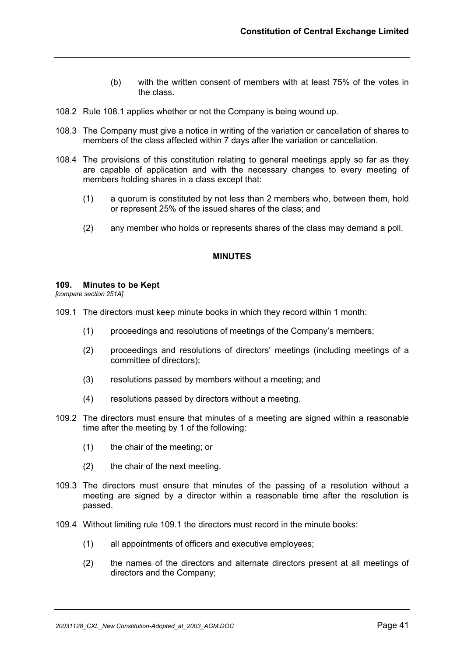- (b) with the written consent of members with at least 75% of the votes in the class.
- 108.2 Rule 108.1 applies whether or not the Company is being wound up.
- 108.3 The Company must give a notice in writing of the variation or cancellation of shares to members of the class affected within 7 days after the variation or cancellation.
- 108.4 The provisions of this constitution relating to general meetings apply so far as they are capable of application and with the necessary changes to every meeting of members holding shares in a class except that:
	- (1) a quorum is constituted by not less than 2 members who, between them, hold or represent 25% of the issued shares of the class; and
	- (2) any member who holds or represents shares of the class may demand a poll.

#### **MINUTES**

#### **109. Minutes to be Kept**

*[compare section 251A]*

- 109.1 The directors must keep minute books in which they record within 1 month:
	- (1) proceedings and resolutions of meetings of the Company's members;
	- (2) proceedings and resolutions of directors' meetings (including meetings of a committee of directors);
	- (3) resolutions passed by members without a meeting; and
	- (4) resolutions passed by directors without a meeting.
- 109.2 The directors must ensure that minutes of a meeting are signed within a reasonable time after the meeting by 1 of the following:
	- (1) the chair of the meeting; or
	- (2) the chair of the next meeting.
- 109.3 The directors must ensure that minutes of the passing of a resolution without a meeting are signed by a director within a reasonable time after the resolution is passed.
- 109.4 Without limiting rule 109.1 the directors must record in the minute books:
	- (1) all appointments of officers and executive employees;
	- (2) the names of the directors and alternate directors present at all meetings of directors and the Company;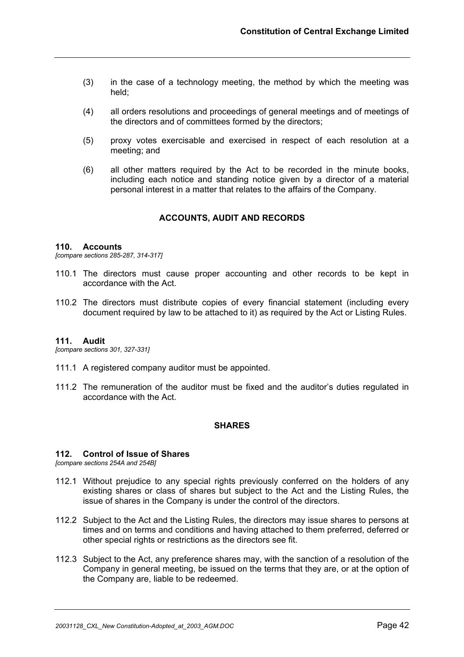- (3) in the case of a technology meeting, the method by which the meeting was held;
- (4) all orders resolutions and proceedings of general meetings and of meetings of the directors and of committees formed by the directors;
- (5) proxy votes exercisable and exercised in respect of each resolution at a meeting; and
- (6) all other matters required by the Act to be recorded in the minute books, including each notice and standing notice given by a director of a material personal interest in a matter that relates to the affairs of the Company.

## **ACCOUNTS, AUDIT AND RECORDS**

#### **110. Accounts**

*[compare sections 285-287, 314-317]*

- 110.1 The directors must cause proper accounting and other records to be kept in accordance with the Act.
- 110.2 The directors must distribute copies of every financial statement (including every document required by law to be attached to it) as required by the Act or Listing Rules.

#### **111. Audit**

*[compare sections 301, 327-331]*

- 111.1 A registered company auditor must be appointed.
- 111.2 The remuneration of the auditor must be fixed and the auditor's duties regulated in accordance with the Act.

## **SHARES**

#### **112. Control of Issue of Shares**

*[compare sections 254A and 254B]*

- 112.1 Without prejudice to any special rights previously conferred on the holders of any existing shares or class of shares but subject to the Act and the Listing Rules, the issue of shares in the Company is under the control of the directors.
- 112.2 Subject to the Act and the Listing Rules, the directors may issue shares to persons at times and on terms and conditions and having attached to them preferred, deferred or other special rights or restrictions as the directors see fit.
- 112.3 Subject to the Act, any preference shares may, with the sanction of a resolution of the Company in general meeting, be issued on the terms that they are, or at the option of the Company are, liable to be redeemed.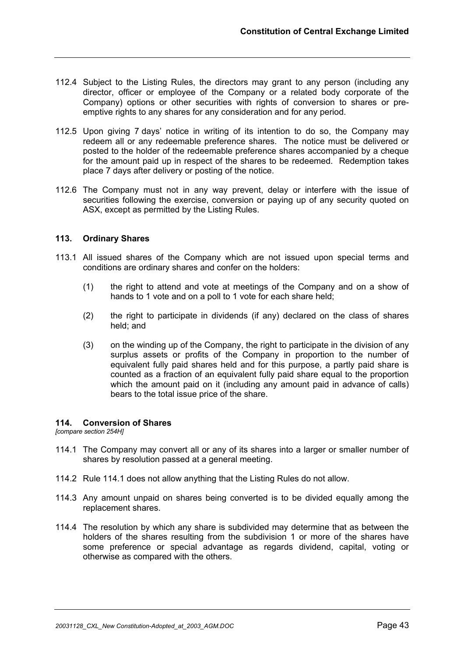- 112.4 Subject to the Listing Rules, the directors may grant to any person (including any director, officer or employee of the Company or a related body corporate of the Company) options or other securities with rights of conversion to shares or preemptive rights to any shares for any consideration and for any period.
- 112.5 Upon giving 7 days' notice in writing of its intention to do so, the Company may redeem all or any redeemable preference shares. The notice must be delivered or posted to the holder of the redeemable preference shares accompanied by a cheque for the amount paid up in respect of the shares to be redeemed. Redemption takes place 7 days after delivery or posting of the notice.
- 112.6 The Company must not in any way prevent, delay or interfere with the issue of securities following the exercise, conversion or paying up of any security quoted on ASX, except as permitted by the Listing Rules.

## **113. Ordinary Shares**

- 113.1 All issued shares of the Company which are not issued upon special terms and conditions are ordinary shares and confer on the holders:
	- (1) the right to attend and vote at meetings of the Company and on a show of hands to 1 vote and on a poll to 1 vote for each share held;
	- (2) the right to participate in dividends (if any) declared on the class of shares held; and
	- (3) on the winding up of the Company, the right to participate in the division of any surplus assets or profits of the Company in proportion to the number of equivalent fully paid shares held and for this purpose, a partly paid share is counted as a fraction of an equivalent fully paid share equal to the proportion which the amount paid on it (including any amount paid in advance of calls) bears to the total issue price of the share.

#### **114. Conversion of Shares**

*[compare section 254H]*

- 114.1 The Company may convert all or any of its shares into a larger or smaller number of shares by resolution passed at a general meeting.
- 114.2 Rule 114.1 does not allow anything that the Listing Rules do not allow.
- 114.3 Any amount unpaid on shares being converted is to be divided equally among the replacement shares.
- 114.4 The resolution by which any share is subdivided may determine that as between the holders of the shares resulting from the subdivision 1 or more of the shares have some preference or special advantage as regards dividend, capital, voting or otherwise as compared with the others.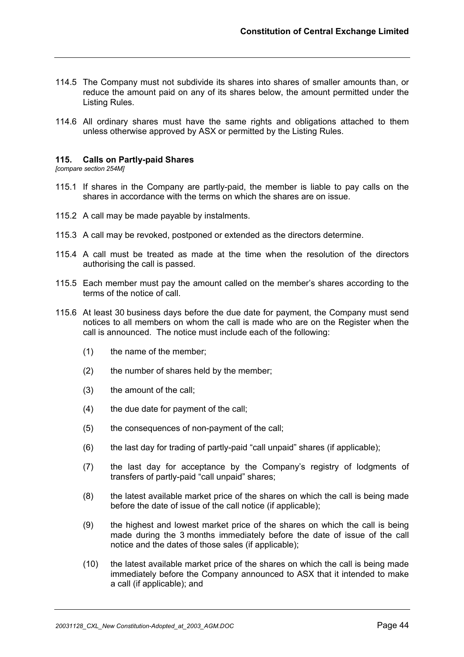- 114.5 The Company must not subdivide its shares into shares of smaller amounts than, or reduce the amount paid on any of its shares below, the amount permitted under the Listing Rules.
- 114.6 All ordinary shares must have the same rights and obligations attached to them unless otherwise approved by ASX or permitted by the Listing Rules.

#### **115. Calls on Partly-paid Shares**

*[compare section 254M]*

- 115.1 If shares in the Company are partly-paid, the member is liable to pay calls on the shares in accordance with the terms on which the shares are on issue.
- 115.2 A call may be made payable by instalments.
- 115.3 A call may be revoked, postponed or extended as the directors determine.
- 115.4 A call must be treated as made at the time when the resolution of the directors authorising the call is passed.
- 115.5 Each member must pay the amount called on the member's shares according to the terms of the notice of call.
- 115.6 At least 30 business days before the due date for payment, the Company must send notices to all members on whom the call is made who are on the Register when the call is announced. The notice must include each of the following:
	- (1) the name of the member;
	- (2) the number of shares held by the member;
	- (3) the amount of the call;
	- (4) the due date for payment of the call;
	- (5) the consequences of non-payment of the call;
	- (6) the last day for trading of partly-paid "call unpaid" shares (if applicable);
	- (7) the last day for acceptance by the Company's registry of lodgments of transfers of partly-paid "call unpaid" shares;
	- (8) the latest available market price of the shares on which the call is being made before the date of issue of the call notice (if applicable);
	- (9) the highest and lowest market price of the shares on which the call is being made during the 3 months immediately before the date of issue of the call notice and the dates of those sales (if applicable);
	- (10) the latest available market price of the shares on which the call is being made immediately before the Company announced to ASX that it intended to make a call (if applicable); and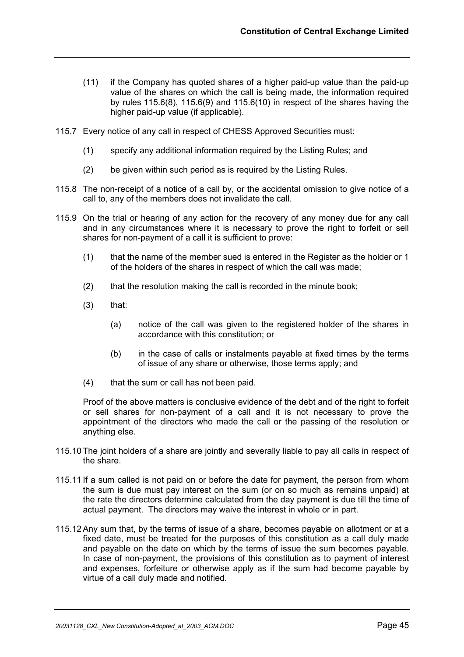- (11) if the Company has quoted shares of a higher paid-up value than the paid-up value of the shares on which the call is being made, the information required by rules  $115.6(8)$ ,  $115.6(9)$  and  $115.6(10)$  in respect of the shares having the higher paid-up value (if applicable).
- 115.7 Every notice of any call in respect of CHESS Approved Securities must:
	- (1) specify any additional information required by the Listing Rules; and
	- (2) be given within such period as is required by the Listing Rules.
- 115.8 The non-receipt of a notice of a call by, or the accidental omission to give notice of a call to, any of the members does not invalidate the call.
- 115.9 On the trial or hearing of any action for the recovery of any money due for any call and in any circumstances where it is necessary to prove the right to forfeit or sell shares for non-payment of a call it is sufficient to prove:
	- (1) that the name of the member sued is entered in the Register as the holder or 1 of the holders of the shares in respect of which the call was made;
	- (2) that the resolution making the call is recorded in the minute book;
	- $(3)$  that:
		- (a) notice of the call was given to the registered holder of the shares in accordance with this constitution; or
		- (b) in the case of calls or instalments payable at fixed times by the terms of issue of any share or otherwise, those terms apply; and
	- (4) that the sum or call has not been paid.

Proof of the above matters is conclusive evidence of the debt and of the right to forfeit or sell shares for non-payment of a call and it is not necessary to prove the appointment of the directors who made the call or the passing of the resolution or anything else.

- 115.10 The joint holders of a share are jointly and severally liable to pay all calls in respect of the share.
- 115.11 If a sum called is not paid on or before the date for payment, the person from whom the sum is due must pay interest on the sum (or on so much as remains unpaid) at the rate the directors determine calculated from the day payment is due till the time of actual payment. The directors may waive the interest in whole or in part.
- 115.12 Any sum that, by the terms of issue of a share, becomes payable on allotment or at a fixed date, must be treated for the purposes of this constitution as a call duly made and payable on the date on which by the terms of issue the sum becomes payable. In case of non-payment, the provisions of this constitution as to payment of interest and expenses, forfeiture or otherwise apply as if the sum had become payable by virtue of a call duly made and notified.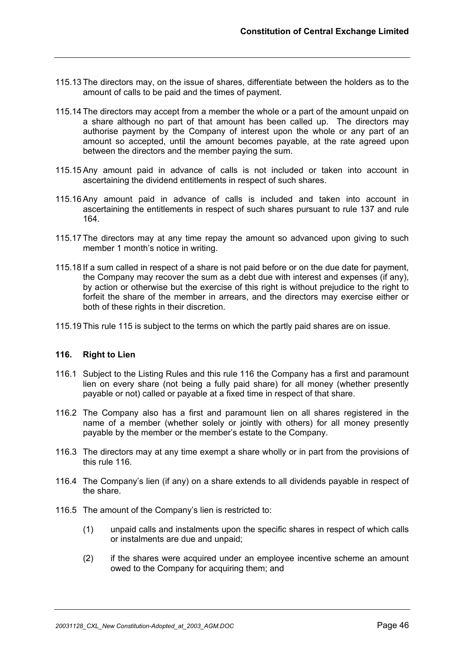- 115.13 The directors may, on the issue of shares, differentiate between the holders as to the amount of calls to be paid and the times of payment.
- 115.14 The directors may accept from a member the whole or a part of the amount unpaid on a share although no part of that amount has been called up. The directors may authorise payment by the Company of interest upon the whole or any part of an amount so accepted, until the amount becomes payable, at the rate agreed upon between the directors and the member paying the sum.
- 115.15 Any amount paid in advance of calls is not included or taken into account in ascertaining the dividend entitlements in respect of such shares.
- 115.16 Any amount paid in advance of calls is included and taken into account in ascertaining the entitlements in respect of such shares pursuant to rule 137 and rule 164.
- 115.17 The directors may at any time repay the amount so advanced upon giving to such member 1 month's notice in writing.
- 115.18 If a sum called in respect of a share is not paid before or on the due date for payment, the Company may recover the sum as a debt due with interest and expenses (if any), by action or otherwise but the exercise of this right is without prejudice to the right to forfeit the share of the member in arrears, and the directors may exercise either or both of these rights in their discretion.
- 115.19 This rule 115 is subject to the terms on which the partly paid shares are on issue.

## **116. Right to Lien**

- 116.1 Subject to the Listing Rules and this rule 116 the Company has a first and paramount lien on every share (not being a fully paid share) for all money (whether presently payable or not) called or payable at a fixed time in respect of that share.
- 116.2 The Company also has a first and paramount lien on all shares registered in the name of a member (whether solely or jointly with others) for all money presently payable by the member or the member's estate to the Company.
- 116.3 The directors may at any time exempt a share wholly or in part from the provisions of this rule 116.
- 116.4 The Company's lien (if any) on a share extends to all dividends payable in respect of the share.
- 116.5 The amount of the Company's lien is restricted to:
	- (1) unpaid calls and instalments upon the specific shares in respect of which calls or instalments are due and unpaid;
	- (2) if the shares were acquired under an employee incentive scheme an amount owed to the Company for acquiring them; and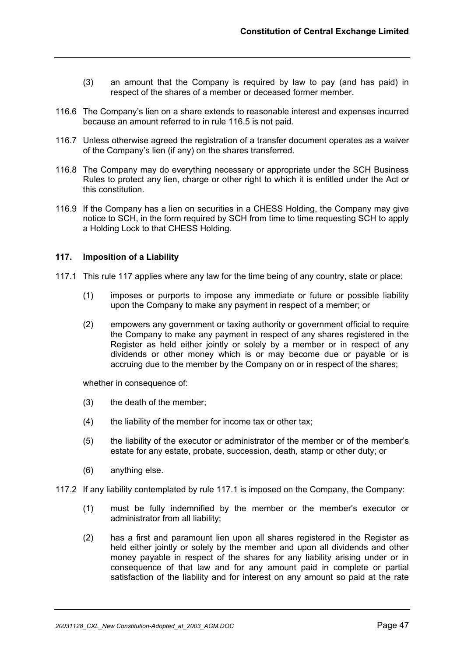- (3) an amount that the Company is required by law to pay (and has paid) in respect of the shares of a member or deceased former member.
- 116.6 The Company's lien on a share extends to reasonable interest and expenses incurred because an amount referred to in rule 116.5 is not paid.
- 116.7 Unless otherwise agreed the registration of a transfer document operates as a waiver of the Company's lien (if any) on the shares transferred.
- 116.8 The Company may do everything necessary or appropriate under the SCH Business Rules to protect any lien, charge or other right to which it is entitled under the Act or this constitution.
- 116.9 If the Company has a lien on securities in a CHESS Holding, the Company may give notice to SCH, in the form required by SCH from time to time requesting SCH to apply a Holding Lock to that CHESS Holding.

## **117. Imposition of a Liability**

- 117.1 This rule 117 applies where any law for the time being of any country, state or place:
	- (1) imposes or purports to impose any immediate or future or possible liability upon the Company to make any payment in respect of a member; or
	- (2) empowers any government or taxing authority or government official to require the Company to make any payment in respect of any shares registered in the Register as held either jointly or solely by a member or in respect of any dividends or other money which is or may become due or payable or is accruing due to the member by the Company on or in respect of the shares;

whether in consequence of:

- (3) the death of the member;
- (4) the liability of the member for income tax or other tax;
- (5) the liability of the executor or administrator of the member or of the member's estate for any estate, probate, succession, death, stamp or other duty; or
- (6) anything else.

117.2 If any liability contemplated by rule 117.1 is imposed on the Company, the Company:

- (1) must be fully indemnified by the member or the member's executor or administrator from all liability;
- (2) has a first and paramount lien upon all shares registered in the Register as held either jointly or solely by the member and upon all dividends and other money payable in respect of the shares for any liability arising under or in consequence of that law and for any amount paid in complete or partial satisfaction of the liability and for interest on any amount so paid at the rate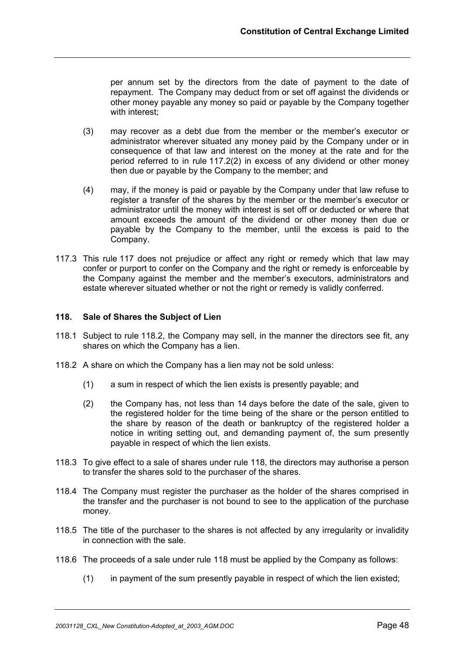per annum set by the directors from the date of payment to the date of repayment. The Company may deduct from or set off against the dividends or other money payable any money so paid or payable by the Company together with interest;

- (3) may recover as a debt due from the member or the member's executor or administrator wherever situated any money paid by the Company under or in consequence of that law and interest on the money at the rate and for the period referred to in rule 117.2(2) in excess of any dividend or other money then due or payable by the Company to the member; and
- (4) may, if the money is paid or payable by the Company under that law refuse to register a transfer of the shares by the member or the member's executor or administrator until the money with interest is set off or deducted or where that amount exceeds the amount of the dividend or other money then due or payable by the Company to the member, until the excess is paid to the Company.
- 117.3 This rule 117 does not prejudice or affect any right or remedy which that law may confer or purport to confer on the Company and the right or remedy is enforceable by the Company against the member and the member's executors, administrators and estate wherever situated whether or not the right or remedy is validly conferred.

## **118. Sale of Shares the Subject of Lien**

- 118.1 Subject to rule 118.2, the Company may sell, in the manner the directors see fit, any shares on which the Company has a lien.
- 118.2 A share on which the Company has a lien may not be sold unless:
	- (1) a sum in respect of which the lien exists is presently payable; and
	- (2) the Company has, not less than 14 days before the date of the sale, given to the registered holder for the time being of the share or the person entitled to the share by reason of the death or bankruptcy of the registered holder a notice in writing setting out, and demanding payment of, the sum presently payable in respect of which the lien exists.
- 118.3 To give effect to a sale of shares under rule 118, the directors may authorise a person to transfer the shares sold to the purchaser of the shares.
- 118.4 The Company must register the purchaser as the holder of the shares comprised in the transfer and the purchaser is not bound to see to the application of the purchase money.
- 118.5 The title of the purchaser to the shares is not affected by any irregularity or invalidity in connection with the sale.
- 118.6 The proceeds of a sale under rule 118 must be applied by the Company as follows:
	- (1) in payment of the sum presently payable in respect of which the lien existed;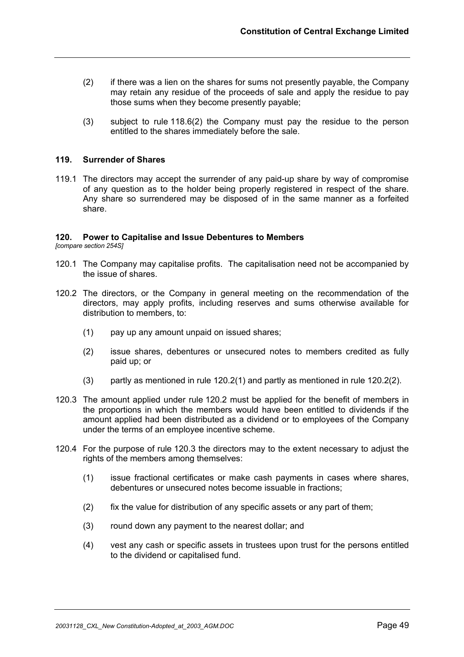- (2) if there was a lien on the shares for sums not presently payable, the Company may retain any residue of the proceeds of sale and apply the residue to pay those sums when they become presently payable;
- (3) subject to rule 118.6(2) the Company must pay the residue to the person entitled to the shares immediately before the sale.

#### **119. Surrender of Shares**

119.1 The directors may accept the surrender of any paid-up share by way of compromise of any question as to the holder being properly registered in respect of the share. Any share so surrendered may be disposed of in the same manner as a forfeited share.

#### **120. Power to Capitalise and Issue Debentures to Members**

*[compare section 254S]*

- 120.1 The Company may capitalise profits. The capitalisation need not be accompanied by the issue of shares.
- 120.2 The directors, or the Company in general meeting on the recommendation of the directors, may apply profits, including reserves and sums otherwise available for distribution to members, to:
	- (1) pay up any amount unpaid on issued shares;
	- (2) issue shares, debentures or unsecured notes to members credited as fully paid up; or
	- (3) partly as mentioned in rule 120.2(1) and partly as mentioned in rule 120.2(2).
- 120.3 The amount applied under rule 120.2 must be applied for the benefit of members in the proportions in which the members would have been entitled to dividends if the amount applied had been distributed as a dividend or to employees of the Company under the terms of an employee incentive scheme.
- 120.4 For the purpose of rule 120.3 the directors may to the extent necessary to adjust the rights of the members among themselves:
	- (1) issue fractional certificates or make cash payments in cases where shares, debentures or unsecured notes become issuable in fractions;
	- (2) fix the value for distribution of any specific assets or any part of them;
	- (3) round down any payment to the nearest dollar; and
	- (4) vest any cash or specific assets in trustees upon trust for the persons entitled to the dividend or capitalised fund.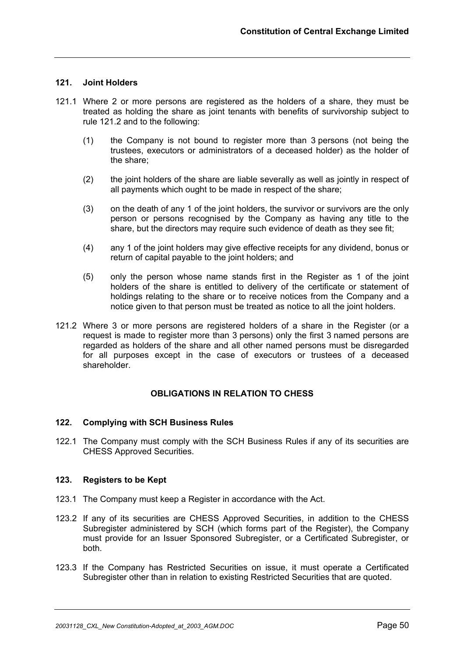## **121. Joint Holders**

- 121.1 Where 2 or more persons are registered as the holders of a share, they must be treated as holding the share as joint tenants with benefits of survivorship subject to rule 121.2 and to the following:
	- (1) the Company is not bound to register more than 3 persons (not being the trustees, executors or administrators of a deceased holder) as the holder of the share;
	- (2) the joint holders of the share are liable severally as well as jointly in respect of all payments which ought to be made in respect of the share;
	- (3) on the death of any 1 of the joint holders, the survivor or survivors are the only person or persons recognised by the Company as having any title to the share, but the directors may require such evidence of death as they see fit;
	- (4) any 1 of the joint holders may give effective receipts for any dividend, bonus or return of capital payable to the joint holders; and
	- (5) only the person whose name stands first in the Register as 1 of the joint holders of the share is entitled to delivery of the certificate or statement of holdings relating to the share or to receive notices from the Company and a notice given to that person must be treated as notice to all the joint holders.
- 121.2 Where 3 or more persons are registered holders of a share in the Register (or a request is made to register more than 3 persons) only the first 3 named persons are regarded as holders of the share and all other named persons must be disregarded for all purposes except in the case of executors or trustees of a deceased shareholder.

## **OBLIGATIONS IN RELATION TO CHESS**

#### **122. Complying with SCH Business Rules**

122.1 The Company must comply with the SCH Business Rules if any of its securities are CHESS Approved Securities.

## **123. Registers to be Kept**

- 123.1 The Company must keep a Register in accordance with the Act.
- 123.2 If any of its securities are CHESS Approved Securities, in addition to the CHESS Subregister administered by SCH (which forms part of the Register), the Company must provide for an Issuer Sponsored Subregister, or a Certificated Subregister, or both.
- 123.3 If the Company has Restricted Securities on issue, it must operate a Certificated Subregister other than in relation to existing Restricted Securities that are quoted.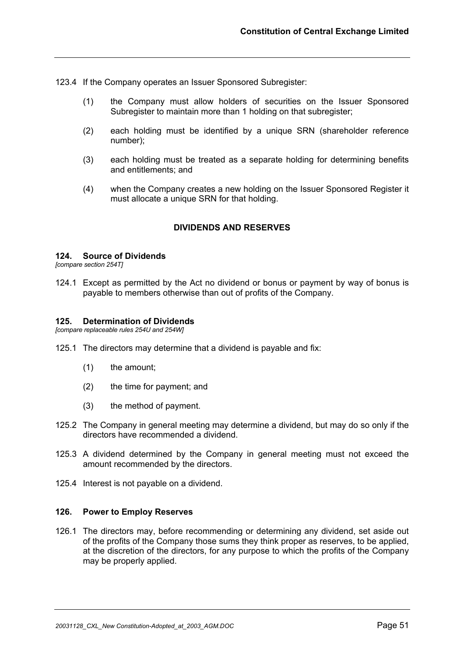123.4 If the Company operates an Issuer Sponsored Subregister:

- (1) the Company must allow holders of securities on the Issuer Sponsored Subregister to maintain more than 1 holding on that subregister;
- (2) each holding must be identified by a unique SRN (shareholder reference number);
- (3) each holding must be treated as a separate holding for determining benefits and entitlements; and
- (4) when the Company creates a new holding on the Issuer Sponsored Register it must allocate a unique SRN for that holding.

## **DIVIDENDS AND RESERVES**

#### **124. Source of Dividends**

*[compare section 254T]*

124.1 Except as permitted by the Act no dividend or bonus or payment by way of bonus is payable to members otherwise than out of profits of the Company.

## **125. Determination of Dividends**

*[compare replaceable rules 254U and 254W]*

- 125.1 The directors may determine that a dividend is payable and fix:
	- (1) the amount;
	- (2) the time for payment; and
	- (3) the method of payment.
- 125.2 The Company in general meeting may determine a dividend, but may do so only if the directors have recommended a dividend.
- 125.3 A dividend determined by the Company in general meeting must not exceed the amount recommended by the directors.
- 125.4 Interest is not payable on a dividend.

#### **126. Power to Employ Reserves**

126.1 The directors may, before recommending or determining any dividend, set aside out of the profits of the Company those sums they think proper as reserves, to be applied, at the discretion of the directors, for any purpose to which the profits of the Company may be properly applied.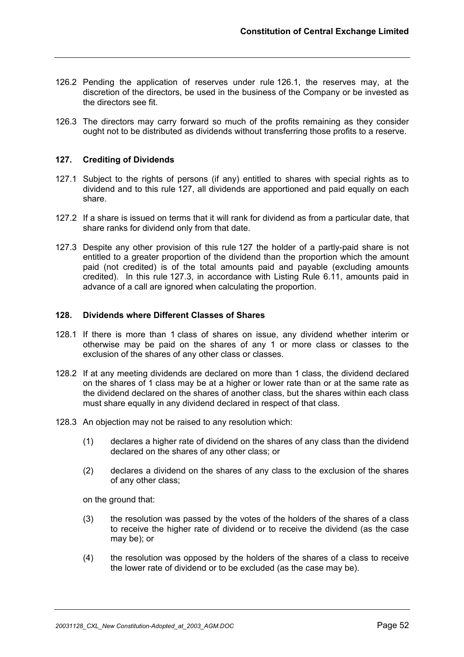- 126.2 Pending the application of reserves under rule 126.1, the reserves may, at the discretion of the directors, be used in the business of the Company or be invested as the directors see fit.
- 126.3 The directors may carry forward so much of the profits remaining as they consider ought not to be distributed as dividends without transferring those profits to a reserve.

## **127. Crediting of Dividends**

- 127.1 Subject to the rights of persons (if any) entitled to shares with special rights as to dividend and to this rule 127, all dividends are apportioned and paid equally on each share.
- 127.2 If a share is issued on terms that it will rank for dividend as from a particular date, that share ranks for dividend only from that date.
- 127.3 Despite any other provision of this rule 127 the holder of a partly-paid share is not entitled to a greater proportion of the dividend than the proportion which the amount paid (not credited) is of the total amounts paid and payable (excluding amounts credited). In this rule 127.3, in accordance with Listing Rule 6.11, amounts paid in advance of a call are ignored when calculating the proportion.

#### **128. Dividends where Different Classes of Shares**

- 128.1 If there is more than 1 class of shares on issue, any dividend whether interim or otherwise may be paid on the shares of any 1 or more class or classes to the exclusion of the shares of any other class or classes.
- 128.2 If at any meeting dividends are declared on more than 1 class, the dividend declared on the shares of 1 class may be at a higher or lower rate than or at the same rate as the dividend declared on the shares of another class, but the shares within each class must share equally in any dividend declared in respect of that class.
- 128.3 An objection may not be raised to any resolution which:
	- (1) declares a higher rate of dividend on the shares of any class than the dividend declared on the shares of any other class; or
	- (2) declares a dividend on the shares of any class to the exclusion of the shares of any other class;

on the ground that:

- (3) the resolution was passed by the votes of the holders of the shares of a class to receive the higher rate of dividend or to receive the dividend (as the case may be); or
- (4) the resolution was opposed by the holders of the shares of a class to receive the lower rate of dividend or to be excluded (as the case may be).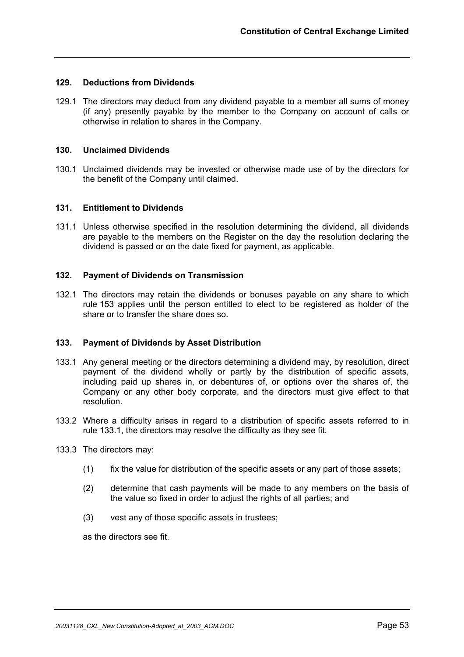## **129. Deductions from Dividends**

129.1 The directors may deduct from any dividend payable to a member all sums of money (if any) presently payable by the member to the Company on account of calls or otherwise in relation to shares in the Company.

#### **130. Unclaimed Dividends**

130.1 Unclaimed dividends may be invested or otherwise made use of by the directors for the benefit of the Company until claimed.

## **131. Entitlement to Dividends**

131.1 Unless otherwise specified in the resolution determining the dividend, all dividends are payable to the members on the Register on the day the resolution declaring the dividend is passed or on the date fixed for payment, as applicable.

## **132. Payment of Dividends on Transmission**

132.1 The directors may retain the dividends or bonuses payable on any share to which rule 153 applies until the person entitled to elect to be registered as holder of the share or to transfer the share does so.

#### **133. Payment of Dividends by Asset Distribution**

- 133.1 Any general meeting or the directors determining a dividend may, by resolution, direct payment of the dividend wholly or partly by the distribution of specific assets, including paid up shares in, or debentures of, or options over the shares of, the Company or any other body corporate, and the directors must give effect to that resolution.
- 133.2 Where a difficulty arises in regard to a distribution of specific assets referred to in rule 133.1, the directors may resolve the difficulty as they see fit.
- 133.3 The directors may:
	- (1) fix the value for distribution of the specific assets or any part of those assets;
	- (2) determine that cash payments will be made to any members on the basis of the value so fixed in order to adjust the rights of all parties; and
	- (3) vest any of those specific assets in trustees;

as the directors see fit.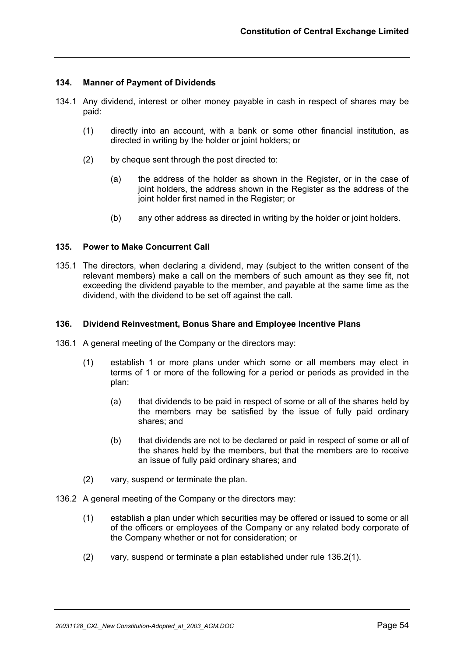## **134. Manner of Payment of Dividends**

- 134.1 Any dividend, interest or other money payable in cash in respect of shares may be paid:
	- (1) directly into an account, with a bank or some other financial institution, as directed in writing by the holder or joint holders; or
	- (2) by cheque sent through the post directed to:
		- (a) the address of the holder as shown in the Register, or in the case of joint holders, the address shown in the Register as the address of the joint holder first named in the Register; or
		- (b) any other address as directed in writing by the holder or joint holders.

#### **135. Power to Make Concurrent Call**

135.1 The directors, when declaring a dividend, may (subject to the written consent of the relevant members) make a call on the members of such amount as they see fit, not exceeding the dividend payable to the member, and payable at the same time as the dividend, with the dividend to be set off against the call.

#### **136. Dividend Reinvestment, Bonus Share and Employee Incentive Plans**

- 136.1 A general meeting of the Company or the directors may:
	- (1) establish 1 or more plans under which some or all members may elect in terms of 1 or more of the following for a period or periods as provided in the plan:
		- (a) that dividends to be paid in respect of some or all of the shares held by the members may be satisfied by the issue of fully paid ordinary shares; and
		- (b) that dividends are not to be declared or paid in respect of some or all of the shares held by the members, but that the members are to receive an issue of fully paid ordinary shares; and
	- (2) vary, suspend or terminate the plan.
- 136.2 A general meeting of the Company or the directors may:
	- (1) establish a plan under which securities may be offered or issued to some or all of the officers or employees of the Company or any related body corporate of the Company whether or not for consideration; or
	- (2) vary, suspend or terminate a plan established under rule 136.2(1).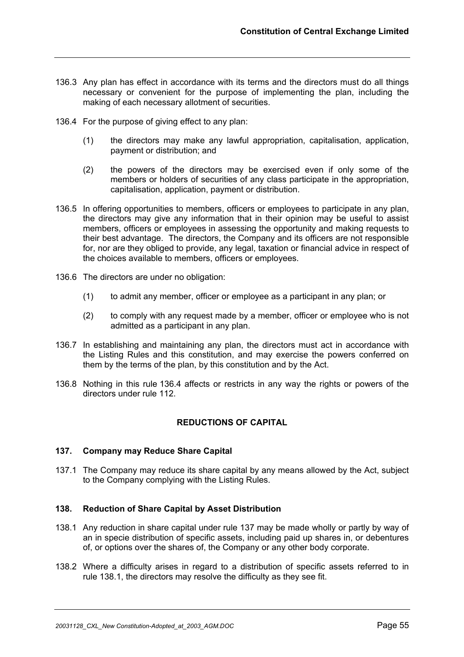- 136.3 Any plan has effect in accordance with its terms and the directors must do all things necessary or convenient for the purpose of implementing the plan, including the making of each necessary allotment of securities.
- 136.4 For the purpose of giving effect to any plan:
	- (1) the directors may make any lawful appropriation, capitalisation, application, payment or distribution; and
	- (2) the powers of the directors may be exercised even if only some of the members or holders of securities of any class participate in the appropriation, capitalisation, application, payment or distribution.
- 136.5 In offering opportunities to members, officers or employees to participate in any plan, the directors may give any information that in their opinion may be useful to assist members, officers or employees in assessing the opportunity and making requests to their best advantage. The directors, the Company and its officers are not responsible for, nor are they obliged to provide, any legal, taxation or financial advice in respect of the choices available to members, officers or employees.
- 136.6 The directors are under no obligation:
	- (1) to admit any member, officer or employee as a participant in any plan; or
	- (2) to comply with any request made by a member, officer or employee who is not admitted as a participant in any plan.
- 136.7 In establishing and maintaining any plan, the directors must act in accordance with the Listing Rules and this constitution, and may exercise the powers conferred on them by the terms of the plan, by this constitution and by the Act.
- 136.8 Nothing in this rule 136.4 affects or restricts in any way the rights or powers of the directors under rule 112.

## **REDUCTIONS OF CAPITAL**

## **137. Company may Reduce Share Capital**

137.1 The Company may reduce its share capital by any means allowed by the Act, subject to the Company complying with the Listing Rules.

## **138. Reduction of Share Capital by Asset Distribution**

- 138.1 Any reduction in share capital under rule 137 may be made wholly or partly by way of an in specie distribution of specific assets, including paid up shares in, or debentures of, or options over the shares of, the Company or any other body corporate.
- 138.2 Where a difficulty arises in regard to a distribution of specific assets referred to in rule 138.1, the directors may resolve the difficulty as they see fit.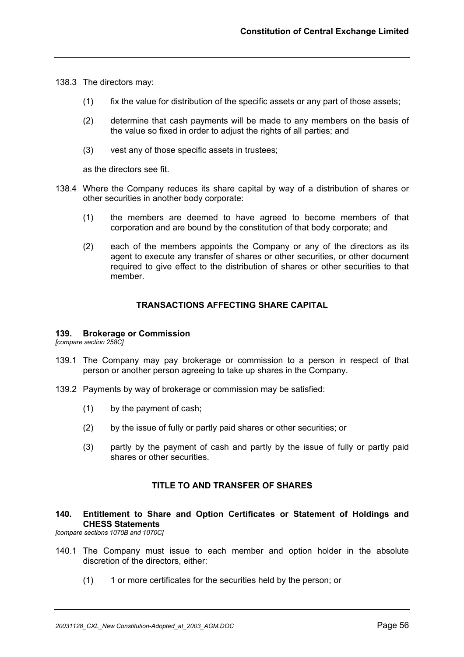138.3 The directors may:

- (1) fix the value for distribution of the specific assets or any part of those assets;
- (2) determine that cash payments will be made to any members on the basis of the value so fixed in order to adjust the rights of all parties; and
- (3) vest any of those specific assets in trustees;

as the directors see fit.

- 138.4 Where the Company reduces its share capital by way of a distribution of shares or other securities in another body corporate:
	- (1) the members are deemed to have agreed to become members of that corporation and are bound by the constitution of that body corporate; and
	- (2) each of the members appoints the Company or any of the directors as its agent to execute any transfer of shares or other securities, or other document required to give effect to the distribution of shares or other securities to that member.

## **TRANSACTIONS AFFECTING SHARE CAPITAL**

#### **139. Brokerage or Commission**

*[compare section 258C]*

- 139.1 The Company may pay brokerage or commission to a person in respect of that person or another person agreeing to take up shares in the Company.
- 139.2 Payments by way of brokerage or commission may be satisfied:
	- (1) by the payment of cash;
	- (2) by the issue of fully or partly paid shares or other securities; or
	- (3) partly by the payment of cash and partly by the issue of fully or partly paid shares or other securities.

## **TITLE TO AND TRANSFER OF SHARES**

## **140. Entitlement to Share and Option Certificates or Statement of Holdings and CHESS Statements**

*[compare sections 1070B and 1070C]*

- 140.1 The Company must issue to each member and option holder in the absolute discretion of the directors, either:
	- (1) 1 or more certificates for the securities held by the person; or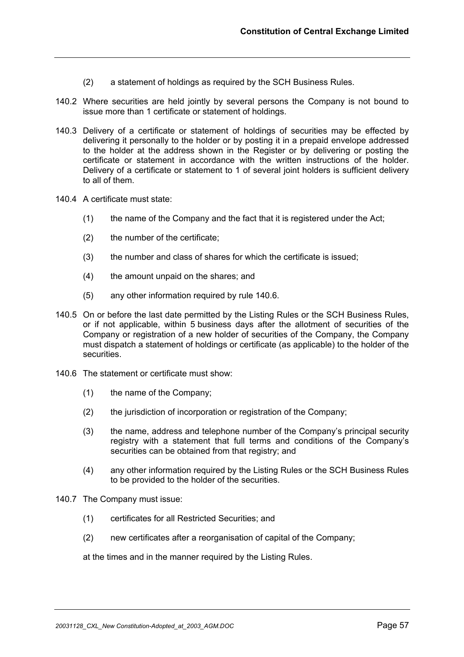- (2) a statement of holdings as required by the SCH Business Rules.
- 140.2 Where securities are held jointly by several persons the Company is not bound to issue more than 1 certificate or statement of holdings.
- 140.3 Delivery of a certificate or statement of holdings of securities may be effected by delivering it personally to the holder or by posting it in a prepaid envelope addressed to the holder at the address shown in the Register or by delivering or posting the certificate or statement in accordance with the written instructions of the holder. Delivery of a certificate or statement to 1 of several joint holders is sufficient delivery to all of them.
- 140.4 A certificate must state:
	- (1) the name of the Company and the fact that it is registered under the Act;
	- (2) the number of the certificate;
	- (3) the number and class of shares for which the certificate is issued;
	- (4) the amount unpaid on the shares; and
	- (5) any other information required by rule 140.6.
- 140.5 On or before the last date permitted by the Listing Rules or the SCH Business Rules, or if not applicable, within 5 business days after the allotment of securities of the Company or registration of a new holder of securities of the Company, the Company must dispatch a statement of holdings or certificate (as applicable) to the holder of the securities.
- 140.6 The statement or certificate must show:
	- (1) the name of the Company;
	- (2) the jurisdiction of incorporation or registration of the Company;
	- (3) the name, address and telephone number of the Company's principal security registry with a statement that full terms and conditions of the Company's securities can be obtained from that registry; and
	- (4) any other information required by the Listing Rules or the SCH Business Rules to be provided to the holder of the securities.
- 140.7 The Company must issue:
	- (1) certificates for all Restricted Securities; and
	- (2) new certificates after a reorganisation of capital of the Company;

at the times and in the manner required by the Listing Rules.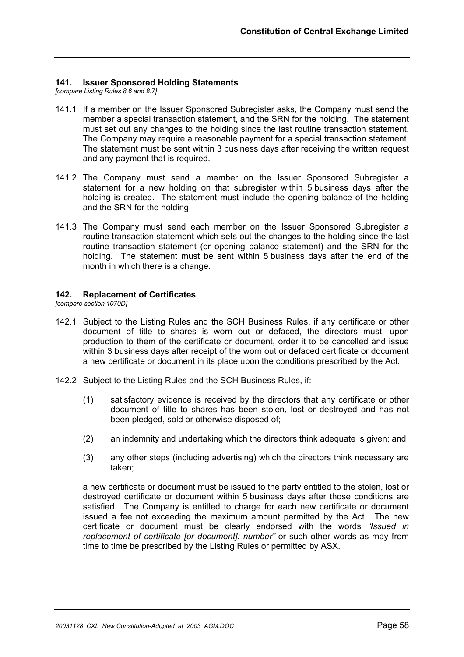## **141. Issuer Sponsored Holding Statements**

*[compare Listing Rules 8.6 and 8.7]*

- 141.1 If a member on the Issuer Sponsored Subregister asks, the Company must send the member a special transaction statement, and the SRN for the holding. The statement must set out any changes to the holding since the last routine transaction statement. The Company may require a reasonable payment for a special transaction statement. The statement must be sent within 3 business days after receiving the written request and any payment that is required.
- 141.2 The Company must send a member on the Issuer Sponsored Subregister a statement for a new holding on that subregister within 5 business days after the holding is created. The statement must include the opening balance of the holding and the SRN for the holding.
- 141.3 The Company must send each member on the Issuer Sponsored Subregister a routine transaction statement which sets out the changes to the holding since the last routine transaction statement (or opening balance statement) and the SRN for the holding. The statement must be sent within 5 business days after the end of the month in which there is a change.

## **142. Replacement of Certificates**

*[compare section 1070D]*

- 142.1 Subject to the Listing Rules and the SCH Business Rules, if any certificate or other document of title to shares is worn out or defaced, the directors must, upon production to them of the certificate or document, order it to be cancelled and issue within 3 business days after receipt of the worn out or defaced certificate or document a new certificate or document in its place upon the conditions prescribed by the Act.
- 142.2 Subject to the Listing Rules and the SCH Business Rules, if:
	- (1) satisfactory evidence is received by the directors that any certificate or other document of title to shares has been stolen, lost or destroyed and has not been pledged, sold or otherwise disposed of;
	- (2) an indemnity and undertaking which the directors think adequate is given; and
	- (3) any other steps (including advertising) which the directors think necessary are taken;

a new certificate or document must be issued to the party entitled to the stolen, lost or destroyed certificate or document within 5 business days after those conditions are satisfied. The Company is entitled to charge for each new certificate or document issued a fee not exceeding the maximum amount permitted by the Act. The new certificate or document must be clearly endorsed with the words *"Issued in replacement of certificate [or document]: number"* or such other words as may from time to time be prescribed by the Listing Rules or permitted by ASX.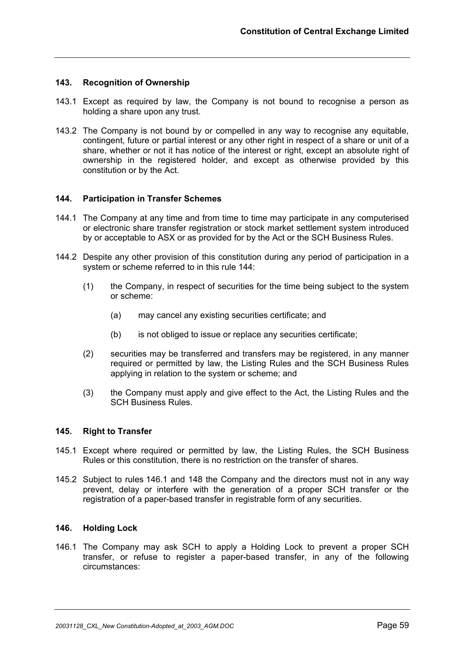## **143. Recognition of Ownership**

- 143.1 Except as required by law, the Company is not bound to recognise a person as holding a share upon any trust.
- 143.2 The Company is not bound by or compelled in any way to recognise any equitable, contingent, future or partial interest or any other right in respect of a share or unit of a share, whether or not it has notice of the interest or right, except an absolute right of ownership in the registered holder, and except as otherwise provided by this constitution or by the Act.

## **144. Participation in Transfer Schemes**

- 144.1 The Company at any time and from time to time may participate in any computerised or electronic share transfer registration or stock market settlement system introduced by or acceptable to ASX or as provided for by the Act or the SCH Business Rules.
- 144.2 Despite any other provision of this constitution during any period of participation in a system or scheme referred to in this rule 144:
	- (1) the Company, in respect of securities for the time being subject to the system or scheme:
		- (a) may cancel any existing securities certificate; and
		- (b) is not obliged to issue or replace any securities certificate;
	- (2) securities may be transferred and transfers may be registered, in any manner required or permitted by law, the Listing Rules and the SCH Business Rules applying in relation to the system or scheme; and
	- (3) the Company must apply and give effect to the Act, the Listing Rules and the SCH Business Rules.

#### **145. Right to Transfer**

- 145.1 Except where required or permitted by law, the Listing Rules, the SCH Business Rules or this constitution, there is no restriction on the transfer of shares.
- 145.2 Subject to rules 146.1 and 148 the Company and the directors must not in any way prevent, delay or interfere with the generation of a proper SCH transfer or the registration of a paper-based transfer in registrable form of any securities.

#### **146. Holding Lock**

146.1 The Company may ask SCH to apply a Holding Lock to prevent a proper SCH transfer, or refuse to register a paper-based transfer, in any of the following circumstances: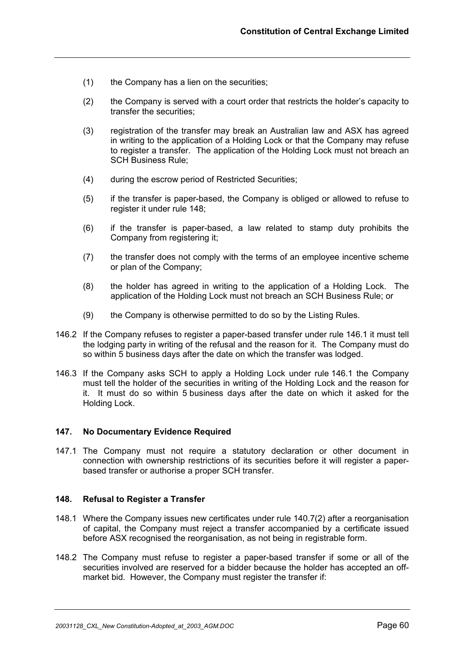- (1) the Company has a lien on the securities;
- (2) the Company is served with a court order that restricts the holder's capacity to transfer the securities;
- (3) registration of the transfer may break an Australian law and ASX has agreed in writing to the application of a Holding Lock or that the Company may refuse to register a transfer. The application of the Holding Lock must not breach an SCH Business Rule;
- (4) during the escrow period of Restricted Securities;
- (5) if the transfer is paper-based, the Company is obliged or allowed to refuse to register it under rule 148;
- (6) if the transfer is paper-based, a law related to stamp duty prohibits the Company from registering it;
- (7) the transfer does not comply with the terms of an employee incentive scheme or plan of the Company;
- (8) the holder has agreed in writing to the application of a Holding Lock. The application of the Holding Lock must not breach an SCH Business Rule; or
- (9) the Company is otherwise permitted to do so by the Listing Rules.
- 146.2 If the Company refuses to register a paper-based transfer under rule 146.1 it must tell the lodging party in writing of the refusal and the reason for it. The Company must do so within 5 business days after the date on which the transfer was lodged.
- 146.3 If the Company asks SCH to apply a Holding Lock under rule 146.1 the Company must tell the holder of the securities in writing of the Holding Lock and the reason for it. It must do so within 5 business days after the date on which it asked for the Holding Lock.

#### **147. No Documentary Evidence Required**

147.1 The Company must not require a statutory declaration or other document in connection with ownership restrictions of its securities before it will register a paperbased transfer or authorise a proper SCH transfer.

#### **148. Refusal to Register a Transfer**

- 148.1 Where the Company issues new certificates under rule 140.7(2) after a reorganisation of capital, the Company must reject a transfer accompanied by a certificate issued before ASX recognised the reorganisation, as not being in registrable form.
- 148.2 The Company must refuse to register a paper-based transfer if some or all of the securities involved are reserved for a bidder because the holder has accepted an offmarket bid. However, the Company must register the transfer if: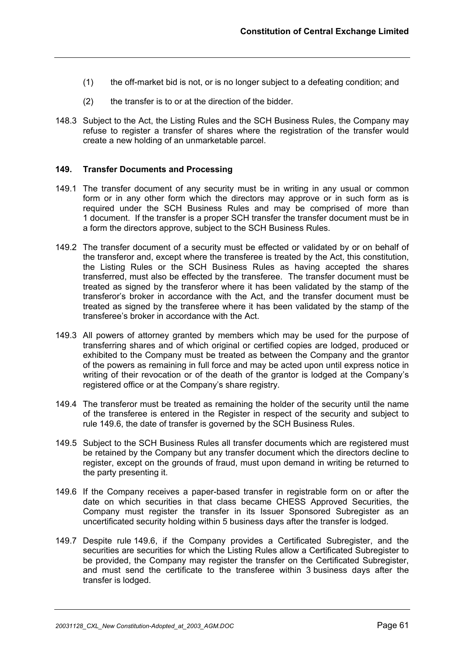- (1) the off-market bid is not, or is no longer subject to a defeating condition; and
- (2) the transfer is to or at the direction of the bidder.
- 148.3 Subject to the Act, the Listing Rules and the SCH Business Rules, the Company may refuse to register a transfer of shares where the registration of the transfer would create a new holding of an unmarketable parcel.

## **149. Transfer Documents and Processing**

- 149.1 The transfer document of any security must be in writing in any usual or common form or in any other form which the directors may approve or in such form as is required under the SCH Business Rules and may be comprised of more than 1 document. If the transfer is a proper SCH transfer the transfer document must be in a form the directors approve, subject to the SCH Business Rules.
- 149.2 The transfer document of a security must be effected or validated by or on behalf of the transferor and, except where the transferee is treated by the Act, this constitution, the Listing Rules or the SCH Business Rules as having accepted the shares transferred, must also be effected by the transferee. The transfer document must be treated as signed by the transferor where it has been validated by the stamp of the transferor's broker in accordance with the Act, and the transfer document must be treated as signed by the transferee where it has been validated by the stamp of the transferee's broker in accordance with the Act.
- 149.3 All powers of attorney granted by members which may be used for the purpose of transferring shares and of which original or certified copies are lodged, produced or exhibited to the Company must be treated as between the Company and the grantor of the powers as remaining in full force and may be acted upon until express notice in writing of their revocation or of the death of the grantor is lodged at the Company's registered office or at the Company's share registry.
- 149.4 The transferor must be treated as remaining the holder of the security until the name of the transferee is entered in the Register in respect of the security and subject to rule 149.6, the date of transfer is governed by the SCH Business Rules.
- 149.5 Subject to the SCH Business Rules all transfer documents which are registered must be retained by the Company but any transfer document which the directors decline to register, except on the grounds of fraud, must upon demand in writing be returned to the party presenting it.
- 149.6 If the Company receives a paper-based transfer in registrable form on or after the date on which securities in that class became CHESS Approved Securities, the Company must register the transfer in its Issuer Sponsored Subregister as an uncertificated security holding within 5 business days after the transfer is lodged.
- 149.7 Despite rule 149.6, if the Company provides a Certificated Subregister, and the securities are securities for which the Listing Rules allow a Certificated Subregister to be provided, the Company may register the transfer on the Certificated Subregister, and must send the certificate to the transferee within 3 business days after the transfer is lodged.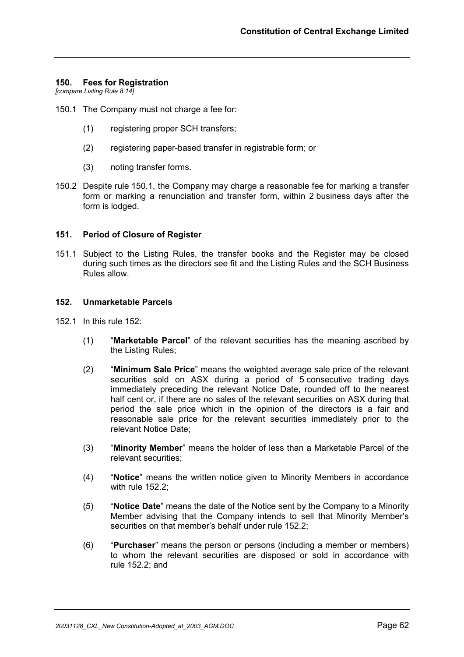#### **150. Fees for Registration**

*[compare Listing Rule 8.14]*

- 150.1 The Company must not charge a fee for:
	- (1) registering proper SCH transfers;
	- (2) registering paper-based transfer in registrable form; or
	- (3) noting transfer forms.
- 150.2 Despite rule 150.1, the Company may charge a reasonable fee for marking a transfer form or marking a renunciation and transfer form, within 2 business days after the form is lodged.

#### **151. Period of Closure of Register**

151.1 Subject to the Listing Rules, the transfer books and the Register may be closed during such times as the directors see fit and the Listing Rules and the SCH Business Rules allow.

#### **152. Unmarketable Parcels**

- 152.1 In this rule 152:
	- (1) "**Marketable Parcel**" of the relevant securities has the meaning ascribed by the Listing Rules;
	- (2) "**Minimum Sale Price**" means the weighted average sale price of the relevant securities sold on ASX during a period of 5 consecutive trading days immediately preceding the relevant Notice Date, rounded off to the nearest half cent or, if there are no sales of the relevant securities on ASX during that period the sale price which in the opinion of the directors is a fair and reasonable sale price for the relevant securities immediately prior to the relevant Notice Date;
	- (3) "**Minority Member**" means the holder of less than a Marketable Parcel of the relevant securities;
	- (4) "**Notice**" means the written notice given to Minority Members in accordance with rule 152.2;
	- (5) "**Notice Date**" means the date of the Notice sent by the Company to a Minority Member advising that the Company intends to sell that Minority Member's securities on that member's behalf under rule 152.2;
	- (6) "**Purchaser**" means the person or persons (including a member or members) to whom the relevant securities are disposed or sold in accordance with rule 152.2; and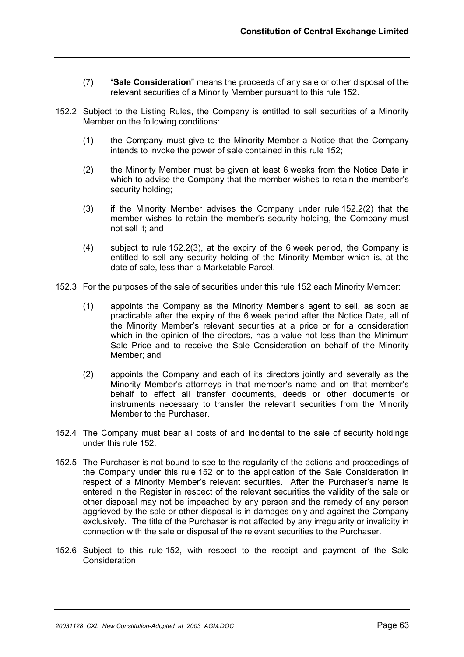- (7) "**Sale Consideration**" means the proceeds of any sale or other disposal of the relevant securities of a Minority Member pursuant to this rule 152.
- 152.2 Subject to the Listing Rules, the Company is entitled to sell securities of a Minority Member on the following conditions:
	- (1) the Company must give to the Minority Member a Notice that the Company intends to invoke the power of sale contained in this rule 152;
	- (2) the Minority Member must be given at least 6 weeks from the Notice Date in which to advise the Company that the member wishes to retain the member's security holding;
	- (3) if the Minority Member advises the Company under rule 152.2(2) that the member wishes to retain the member's security holding, the Company must not sell it; and
	- (4) subject to rule 152.2(3), at the expiry of the 6 week period, the Company is entitled to sell any security holding of the Minority Member which is, at the date of sale, less than a Marketable Parcel.
- 152.3 For the purposes of the sale of securities under this rule 152 each Minority Member:
	- (1) appoints the Company as the Minority Member's agent to sell, as soon as practicable after the expiry of the 6 week period after the Notice Date, all of the Minority Member's relevant securities at a price or for a consideration which in the opinion of the directors, has a value not less than the Minimum Sale Price and to receive the Sale Consideration on behalf of the Minority Member; and
	- (2) appoints the Company and each of its directors jointly and severally as the Minority Member's attorneys in that member's name and on that member's behalf to effect all transfer documents, deeds or other documents or instruments necessary to transfer the relevant securities from the Minority Member to the Purchaser.
- 152.4 The Company must bear all costs of and incidental to the sale of security holdings under this rule 152.
- 152.5 The Purchaser is not bound to see to the regularity of the actions and proceedings of the Company under this rule 152 or to the application of the Sale Consideration in respect of a Minority Member's relevant securities. After the Purchaser's name is entered in the Register in respect of the relevant securities the validity of the sale or other disposal may not be impeached by any person and the remedy of any person aggrieved by the sale or other disposal is in damages only and against the Company exclusively. The title of the Purchaser is not affected by any irregularity or invalidity in connection with the sale or disposal of the relevant securities to the Purchaser.
- 152.6 Subject to this rule 152, with respect to the receipt and payment of the Sale Consideration: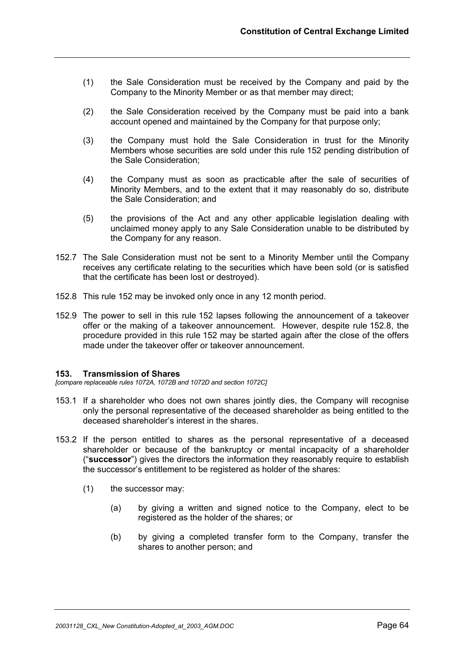- (1) the Sale Consideration must be received by the Company and paid by the Company to the Minority Member or as that member may direct;
- (2) the Sale Consideration received by the Company must be paid into a bank account opened and maintained by the Company for that purpose only;
- (3) the Company must hold the Sale Consideration in trust for the Minority Members whose securities are sold under this rule 152 pending distribution of the Sale Consideration;
- (4) the Company must as soon as practicable after the sale of securities of Minority Members, and to the extent that it may reasonably do so, distribute the Sale Consideration; and
- (5) the provisions of the Act and any other applicable legislation dealing with unclaimed money apply to any Sale Consideration unable to be distributed by the Company for any reason.
- 152.7 The Sale Consideration must not be sent to a Minority Member until the Company receives any certificate relating to the securities which have been sold (or is satisfied that the certificate has been lost or destroyed).
- 152.8 This rule 152 may be invoked only once in any 12 month period.
- 152.9 The power to sell in this rule 152 lapses following the announcement of a takeover offer or the making of a takeover announcement. However, despite rule 152.8, the procedure provided in this rule 152 may be started again after the close of the offers made under the takeover offer or takeover announcement.

#### **153. Transmission of Shares**

*[compare replaceable rules 1072A, 1072B and 1072D and section 1072C]*

- 153.1 If a shareholder who does not own shares jointly dies, the Company will recognise only the personal representative of the deceased shareholder as being entitled to the deceased shareholder's interest in the shares.
- 153.2 If the person entitled to shares as the personal representative of a deceased shareholder or because of the bankruptcy or mental incapacity of a shareholder ("**successor**") gives the directors the information they reasonably require to establish the successor's entitlement to be registered as holder of the shares:
	- (1) the successor may:
		- (a) by giving a written and signed notice to the Company, elect to be registered as the holder of the shares; or
		- (b) by giving a completed transfer form to the Company, transfer the shares to another person; and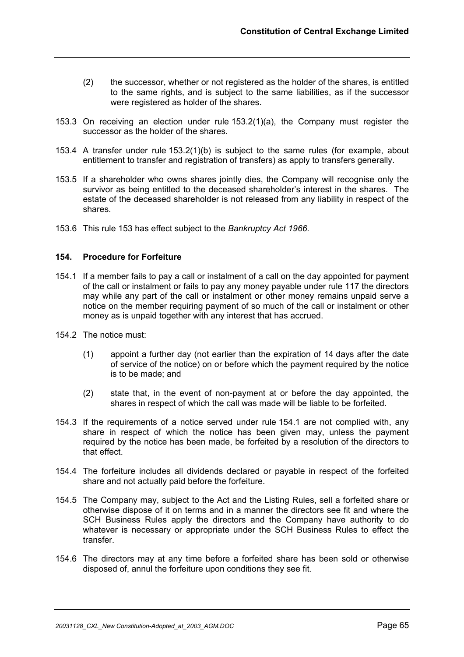- (2) the successor, whether or not registered as the holder of the shares, is entitled to the same rights, and is subject to the same liabilities, as if the successor were registered as holder of the shares.
- 153.3 On receiving an election under rule 153.2(1)(a), the Company must register the successor as the holder of the shares.
- 153.4 A transfer under rule 153.2(1)(b) is subject to the same rules (for example, about entitlement to transfer and registration of transfers) as apply to transfers generally.
- 153.5 If a shareholder who owns shares jointly dies, the Company will recognise only the survivor as being entitled to the deceased shareholder's interest in the shares. The estate of the deceased shareholder is not released from any liability in respect of the shares.
- 153.6 This rule 153 has effect subject to the *Bankruptcy Act 1966.*

## **154. Procedure for Forfeiture**

- 154.1 If a member fails to pay a call or instalment of a call on the day appointed for payment of the call or instalment or fails to pay any money payable under rule 117 the directors may while any part of the call or instalment or other money remains unpaid serve a notice on the member requiring payment of so much of the call or instalment or other money as is unpaid together with any interest that has accrued.
- 154.2 The notice must:
	- (1) appoint a further day (not earlier than the expiration of 14 days after the date of service of the notice) on or before which the payment required by the notice is to be made; and
	- (2) state that, in the event of non-payment at or before the day appointed, the shares in respect of which the call was made will be liable to be forfeited.
- 154.3 If the requirements of a notice served under rule 154.1 are not complied with, any share in respect of which the notice has been given may, unless the payment required by the notice has been made, be forfeited by a resolution of the directors to that effect.
- 154.4 The forfeiture includes all dividends declared or payable in respect of the forfeited share and not actually paid before the forfeiture.
- 154.5 The Company may, subject to the Act and the Listing Rules, sell a forfeited share or otherwise dispose of it on terms and in a manner the directors see fit and where the SCH Business Rules apply the directors and the Company have authority to do whatever is necessary or appropriate under the SCH Business Rules to effect the transfer.
- 154.6 The directors may at any time before a forfeited share has been sold or otherwise disposed of, annul the forfeiture upon conditions they see fit.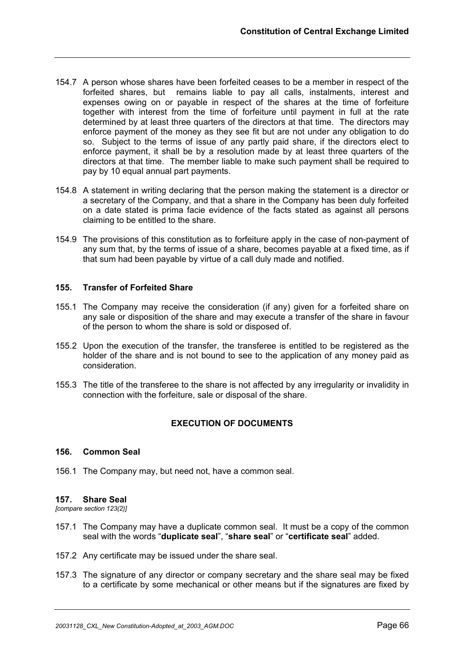- 154.7 A person whose shares have been forfeited ceases to be a member in respect of the forfeited shares, but remains liable to pay all calls, instalments, interest and expenses owing on or payable in respect of the shares at the time of forfeiture together with interest from the time of forfeiture until payment in full at the rate determined by at least three quarters of the directors at that time. The directors may enforce payment of the money as they see fit but are not under any obligation to do so. Subject to the terms of issue of any partly paid share, if the directors elect to enforce payment, it shall be by a resolution made by at least three quarters of the directors at that time. The member liable to make such payment shall be required to pay by 10 equal annual part payments.
- 154.8 A statement in writing declaring that the person making the statement is a director or a secretary of the Company, and that a share in the Company has been duly forfeited on a date stated is prima facie evidence of the facts stated as against all persons claiming to be entitled to the share.
- 154.9 The provisions of this constitution as to forfeiture apply in the case of non-payment of any sum that, by the terms of issue of a share, becomes payable at a fixed time, as if that sum had been payable by virtue of a call duly made and notified.

## **155. Transfer of Forfeited Share**

- 155.1 The Company may receive the consideration (if any) given for a forfeited share on any sale or disposition of the share and may execute a transfer of the share in favour of the person to whom the share is sold or disposed of.
- 155.2 Upon the execution of the transfer, the transferee is entitled to be registered as the holder of the share and is not bound to see to the application of any money paid as consideration.
- 155.3 The title of the transferee to the share is not affected by any irregularity or invalidity in connection with the forfeiture, sale or disposal of the share.

## **EXECUTION OF DOCUMENTS**

#### **156. Common Seal**

156.1 The Company may, but need not, have a common seal.

## **157. Share Seal**

*[compare section 123(2)]*

- 157.1 The Company may have a duplicate common seal. It must be a copy of the common seal with the words "**duplicate seal**", "**share seal**" or "**certificate seal**" added.
- 157.2 Any certificate may be issued under the share seal.
- 157.3 The signature of any director or company secretary and the share seal may be fixed to a certificate by some mechanical or other means but if the signatures are fixed by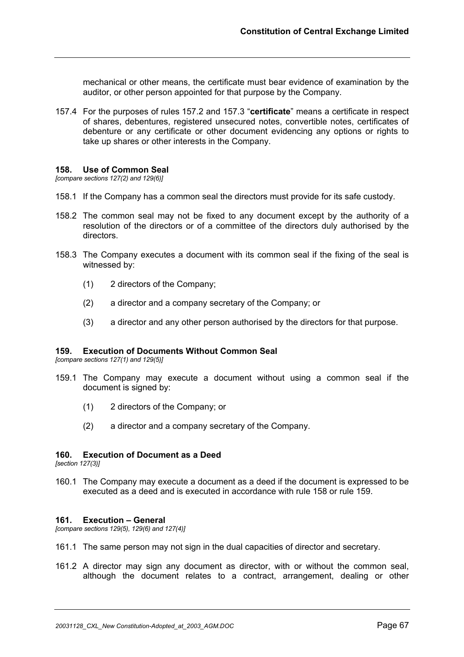mechanical or other means, the certificate must bear evidence of examination by the auditor, or other person appointed for that purpose by the Company.

157.4 For the purposes of rules 157.2 and 157.3 "**certificate**" means a certificate in respect of shares, debentures, registered unsecured notes, convertible notes, certificates of debenture or any certificate or other document evidencing any options or rights to take up shares or other interests in the Company.

#### **158. Use of Common Seal**

*[compare sections 127(2) and 129(6)]*

- 158.1 If the Company has a common seal the directors must provide for its safe custody.
- 158.2 The common seal may not be fixed to any document except by the authority of a resolution of the directors or of a committee of the directors duly authorised by the directors.
- 158.3 The Company executes a document with its common seal if the fixing of the seal is witnessed by:
	- (1) 2 directors of the Company;
	- (2) a director and a company secretary of the Company; or
	- (3) a director and any other person authorised by the directors for that purpose.

#### **159. Execution of Documents Without Common Seal**

*[compare sections 127(1) and 129(5)]*

- 159.1 The Company may execute a document without using a common seal if the document is signed by:
	- (1) 2 directors of the Company; or
	- (2) a director and a company secretary of the Company.

#### **160. Execution of Document as a Deed**

*[section 127(3)]*

160.1 The Company may execute a document as a deed if the document is expressed to be executed as a deed and is executed in accordance with rule 158 or rule 159.

#### **161. Execution – General**

*[compare sections 129(5), 129(6) and 127(4)]*

- 161.1 The same person may not sign in the dual capacities of director and secretary.
- 161.2 A director may sign any document as director, with or without the common seal, although the document relates to a contract, arrangement, dealing or other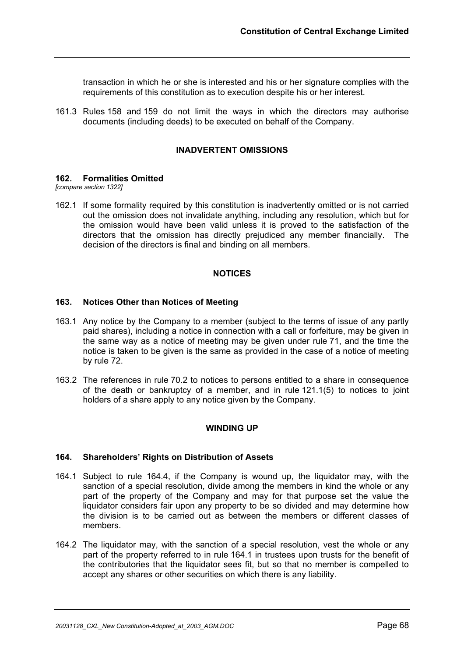transaction in which he or she is interested and his or her signature complies with the requirements of this constitution as to execution despite his or her interest.

161.3 Rules 158 and 159 do not limit the ways in which the directors may authorise documents (including deeds) to be executed on behalf of the Company.

## **INADVERTENT OMISSIONS**

#### **162. Formalities Omitted**

*[compare section 1322]*

162.1 If some formality required by this constitution is inadvertently omitted or is not carried out the omission does not invalidate anything, including any resolution, which but for the omission would have been valid unless it is proved to the satisfaction of the directors that the omission has directly prejudiced any member financially. The decision of the directors is final and binding on all members.

#### **NOTICES**

#### **163. Notices Other than Notices of Meeting**

- 163.1 Any notice by the Company to a member (subject to the terms of issue of any partly paid shares), including a notice in connection with a call or forfeiture, may be given in the same way as a notice of meeting may be given under rule 71, and the time the notice is taken to be given is the same as provided in the case of a notice of meeting by rule 72.
- 163.2 The references in rule 70.2 to notices to persons entitled to a share in consequence of the death or bankruptcy of a member, and in rule 121.1(5) to notices to joint holders of a share apply to any notice given by the Company.

#### **WINDING UP**

#### **164. Shareholders' Rights on Distribution of Assets**

- 164.1 Subject to rule 164.4, if the Company is wound up, the liquidator may, with the sanction of a special resolution, divide among the members in kind the whole or any part of the property of the Company and may for that purpose set the value the liquidator considers fair upon any property to be so divided and may determine how the division is to be carried out as between the members or different classes of members.
- 164.2 The liquidator may, with the sanction of a special resolution, vest the whole or any part of the property referred to in rule 164.1 in trustees upon trusts for the benefit of the contributories that the liquidator sees fit, but so that no member is compelled to accept any shares or other securities on which there is any liability.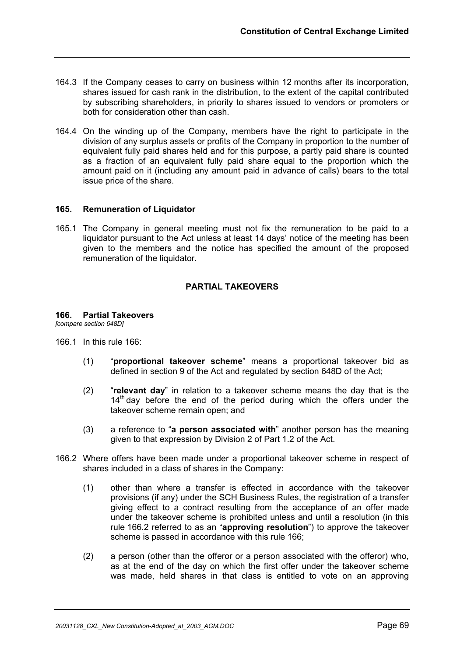- 164.3 If the Company ceases to carry on business within 12 months after its incorporation, shares issued for cash rank in the distribution, to the extent of the capital contributed by subscribing shareholders, in priority to shares issued to vendors or promoters or both for consideration other than cash.
- 164.4 On the winding up of the Company, members have the right to participate in the division of any surplus assets or profits of the Company in proportion to the number of equivalent fully paid shares held and for this purpose, a partly paid share is counted as a fraction of an equivalent fully paid share equal to the proportion which the amount paid on it (including any amount paid in advance of calls) bears to the total issue price of the share.

## **165. Remuneration of Liquidator**

165.1 The Company in general meeting must not fix the remuneration to be paid to a liquidator pursuant to the Act unless at least 14 days' notice of the meeting has been given to the members and the notice has specified the amount of the proposed remuneration of the liquidator.

## **PARTIAL TAKEOVERS**

# **166. Partial Takeovers**

*[compare section 648D]*

- 166.1 In this rule 166:
	- (1) "**proportional takeover scheme**" means a proportional takeover bid as defined in section 9 of the Act and regulated by section 648D of the Act;
	- (2) "**relevant day**" in relation to a takeover scheme means the day that is the  $14<sup>th</sup>$  day before the end of the period during which the offers under the takeover scheme remain open; and
	- (3) a reference to "**a person associated with**" another person has the meaning given to that expression by Division 2 of Part 1.2 of the Act.
- 166.2 Where offers have been made under a proportional takeover scheme in respect of shares included in a class of shares in the Company:
	- (1) other than where a transfer is effected in accordance with the takeover provisions (if any) under the SCH Business Rules, the registration of a transfer giving effect to a contract resulting from the acceptance of an offer made under the takeover scheme is prohibited unless and until a resolution (in this rule 166.2 referred to as an "**approving resolution**") to approve the takeover scheme is passed in accordance with this rule 166;
	- (2) a person (other than the offeror or a person associated with the offeror) who, as at the end of the day on which the first offer under the takeover scheme was made, held shares in that class is entitled to vote on an approving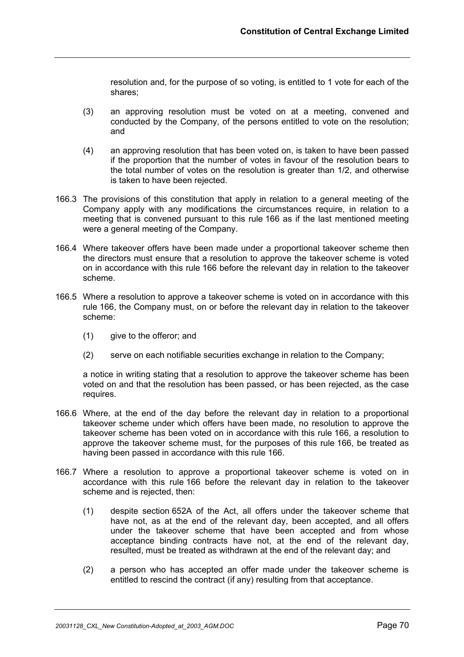resolution and, for the purpose of so voting, is entitled to 1 vote for each of the shares;

- (3) an approving resolution must be voted on at a meeting, convened and conducted by the Company, of the persons entitled to vote on the resolution; and
- (4) an approving resolution that has been voted on, is taken to have been passed if the proportion that the number of votes in favour of the resolution bears to the total number of votes on the resolution is greater than 1/2, and otherwise is taken to have been rejected.
- 166.3 The provisions of this constitution that apply in relation to a general meeting of the Company apply with any modifications the circumstances require, in relation to a meeting that is convened pursuant to this rule 166 as if the last mentioned meeting were a general meeting of the Company.
- 166.4 Where takeover offers have been made under a proportional takeover scheme then the directors must ensure that a resolution to approve the takeover scheme is voted on in accordance with this rule 166 before the relevant day in relation to the takeover scheme.
- 166.5 Where a resolution to approve a takeover scheme is voted on in accordance with this rule 166, the Company must, on or before the relevant day in relation to the takeover scheme:
	- (1) give to the offeror; and
	- (2) serve on each notifiable securities exchange in relation to the Company;

a notice in writing stating that a resolution to approve the takeover scheme has been voted on and that the resolution has been passed, or has been rejected, as the case requires.

- 166.6 Where, at the end of the day before the relevant day in relation to a proportional takeover scheme under which offers have been made, no resolution to approve the takeover scheme has been voted on in accordance with this rule 166, a resolution to approve the takeover scheme must, for the purposes of this rule 166, be treated as having been passed in accordance with this rule 166.
- 166.7 Where a resolution to approve a proportional takeover scheme is voted on in accordance with this rule 166 before the relevant day in relation to the takeover scheme and is rejected, then:
	- (1) despite section 652A of the Act, all offers under the takeover scheme that have not, as at the end of the relevant day, been accepted, and all offers under the takeover scheme that have been accepted and from whose acceptance binding contracts have not, at the end of the relevant day, resulted, must be treated as withdrawn at the end of the relevant day; and
	- (2) a person who has accepted an offer made under the takeover scheme is entitled to rescind the contract (if any) resulting from that acceptance.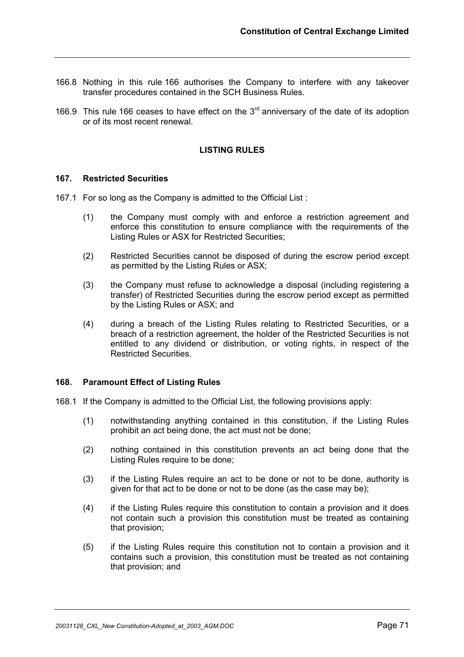- 166.8 Nothing in this rule 166 authorises the Company to interfere with any takeover transfer procedures contained in the SCH Business Rules.
- 166.9 This rule 166 ceases to have effect on the  $3<sup>rd</sup>$  anniversary of the date of its adoption or of its most recent renewal.

## **LISTING RULES**

#### **167. Restricted Securities**

- 167.1 For so long as the Company is admitted to the Official List :
	- (1) the Company must comply with and enforce a restriction agreement and enforce this constitution to ensure compliance with the requirements of the Listing Rules or ASX for Restricted Securities;
	- (2) Restricted Securities cannot be disposed of during the escrow period except as permitted by the Listing Rules or ASX;
	- (3) the Company must refuse to acknowledge a disposal (including registering a transfer) of Restricted Securities during the escrow period except as permitted by the Listing Rules or ASX; and
	- (4) during a breach of the Listing Rules relating to Restricted Securities, or a breach of a restriction agreement, the holder of the Restricted Securities is not entitled to any dividend or distribution, or voting rights, in respect of the Restricted Securities.

#### **168. Paramount Effect of Listing Rules**

- 168.1 If the Company is admitted to the Official List, the following provisions apply:
	- (1) notwithstanding anything contained in this constitution, if the Listing Rules prohibit an act being done, the act must not be done;
	- (2) nothing contained in this constitution prevents an act being done that the Listing Rules require to be done;
	- (3) if the Listing Rules require an act to be done or not to be done, authority is given for that act to be done or not to be done (as the case may be);
	- (4) if the Listing Rules require this constitution to contain a provision and it does not contain such a provision this constitution must be treated as containing that provision;
	- (5) if the Listing Rules require this constitution not to contain a provision and it contains such a provision, this constitution must be treated as not containing that provision; and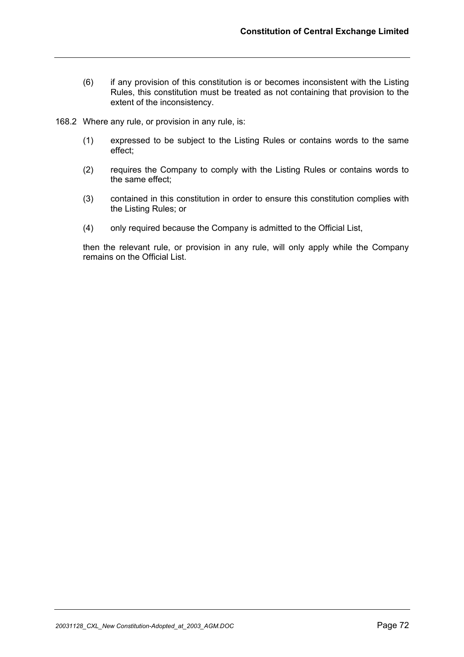- (6) if any provision of this constitution is or becomes inconsistent with the Listing Rules, this constitution must be treated as not containing that provision to the extent of the inconsistency.
- 168.2 Where any rule, or provision in any rule, is:
	- (1) expressed to be subject to the Listing Rules or contains words to the same effect;
	- (2) requires the Company to comply with the Listing Rules or contains words to the same effect;
	- (3) contained in this constitution in order to ensure this constitution complies with the Listing Rules; or
	- (4) only required because the Company is admitted to the Official List,

then the relevant rule, or provision in any rule, will only apply while the Company remains on the Official List.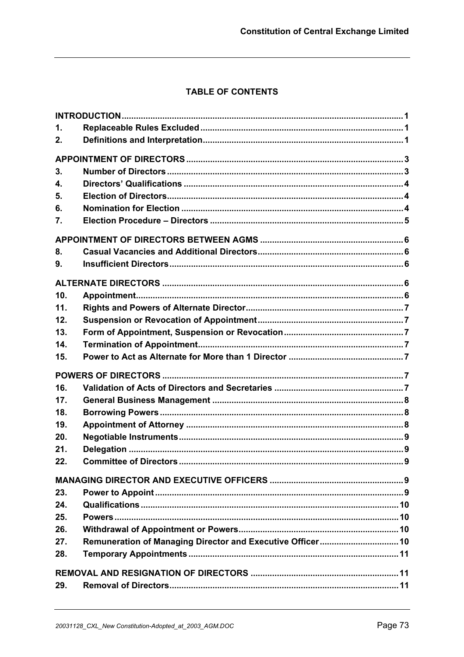## TABLE OF CONTENTS

| 1.                        |                                                            |  |
|---------------------------|------------------------------------------------------------|--|
| 2.                        |                                                            |  |
|                           |                                                            |  |
| 3.                        |                                                            |  |
| $\overline{\mathbf{4}}$ . |                                                            |  |
| 5.                        |                                                            |  |
| 6.                        |                                                            |  |
| 7.                        |                                                            |  |
|                           |                                                            |  |
| 8.                        |                                                            |  |
| 9.                        |                                                            |  |
|                           |                                                            |  |
| 10.                       |                                                            |  |
| 11.                       |                                                            |  |
| 12.                       |                                                            |  |
| 13.                       |                                                            |  |
| 14.                       |                                                            |  |
| 15.                       |                                                            |  |
|                           |                                                            |  |
| 16.                       |                                                            |  |
| 17.                       |                                                            |  |
| 18.                       |                                                            |  |
| 19.                       |                                                            |  |
| 20.                       |                                                            |  |
| 21.                       |                                                            |  |
| 22.                       |                                                            |  |
|                           |                                                            |  |
| 23.                       |                                                            |  |
| 24.                       |                                                            |  |
| 25.                       |                                                            |  |
| 26.                       |                                                            |  |
| 27.                       | Remuneration of Managing Director and Executive Officer 10 |  |
| 28.                       |                                                            |  |
|                           |                                                            |  |
| 29.                       |                                                            |  |
|                           |                                                            |  |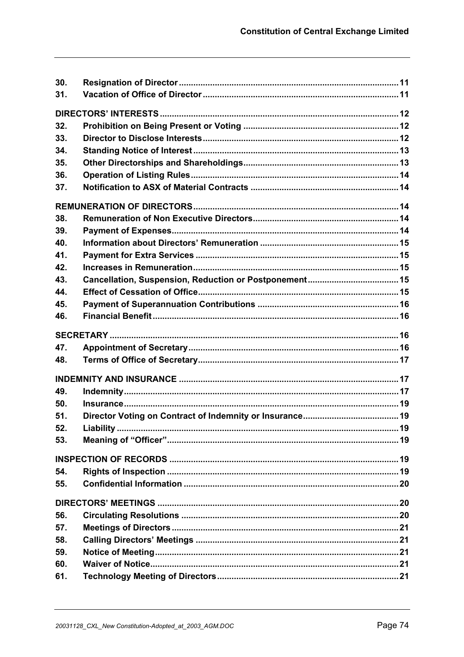| 30. |  |
|-----|--|
| 31. |  |
|     |  |
| 32. |  |
| 33. |  |
|     |  |
| 34. |  |
| 35. |  |
| 36. |  |
| 37. |  |
|     |  |
| 38. |  |
| 39. |  |
| 40. |  |
| 41. |  |
| 42. |  |
| 43. |  |
| 44. |  |
| 45. |  |
| 46. |  |
|     |  |
| 47. |  |
| 48. |  |
|     |  |
|     |  |
| 49. |  |
| 50. |  |
| 51. |  |
| 52. |  |
| 53. |  |
|     |  |
| 54. |  |
| 55. |  |
|     |  |
| 56. |  |
| 57. |  |
| 58. |  |
| 59. |  |
| 60. |  |
| 61. |  |
|     |  |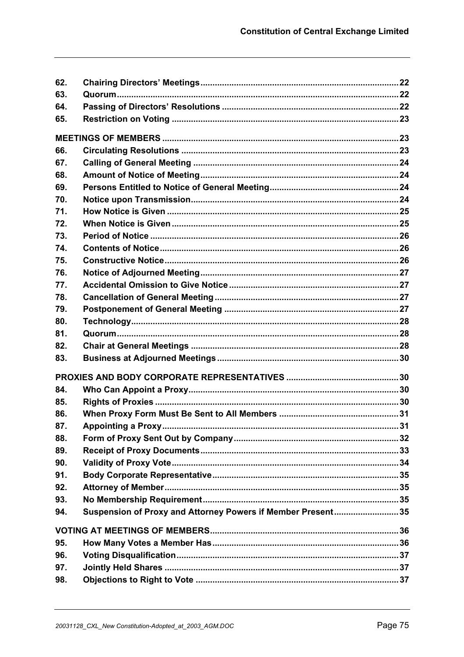| 62. |                                                             |  |
|-----|-------------------------------------------------------------|--|
| 63. |                                                             |  |
| 64. |                                                             |  |
| 65. |                                                             |  |
|     |                                                             |  |
|     |                                                             |  |
| 66. |                                                             |  |
| 67. |                                                             |  |
| 68. |                                                             |  |
| 69. |                                                             |  |
| 70. |                                                             |  |
| 71. |                                                             |  |
| 72. |                                                             |  |
| 73. |                                                             |  |
| 74. |                                                             |  |
| 75. |                                                             |  |
| 76. |                                                             |  |
| 77. |                                                             |  |
| 78. |                                                             |  |
| 79. |                                                             |  |
| 80. |                                                             |  |
| 81. |                                                             |  |
| 82. |                                                             |  |
| 83. |                                                             |  |
|     |                                                             |  |
| 84. |                                                             |  |
| 85. |                                                             |  |
| 86. |                                                             |  |
| 87. |                                                             |  |
| 88. |                                                             |  |
| 89. |                                                             |  |
| 90. |                                                             |  |
| 91. |                                                             |  |
| 92. |                                                             |  |
| 93. |                                                             |  |
| 94. | Suspension of Proxy and Attorney Powers if Member Present35 |  |
|     |                                                             |  |
|     |                                                             |  |
| 95. |                                                             |  |
| 96. |                                                             |  |
| 97. |                                                             |  |
| 98. |                                                             |  |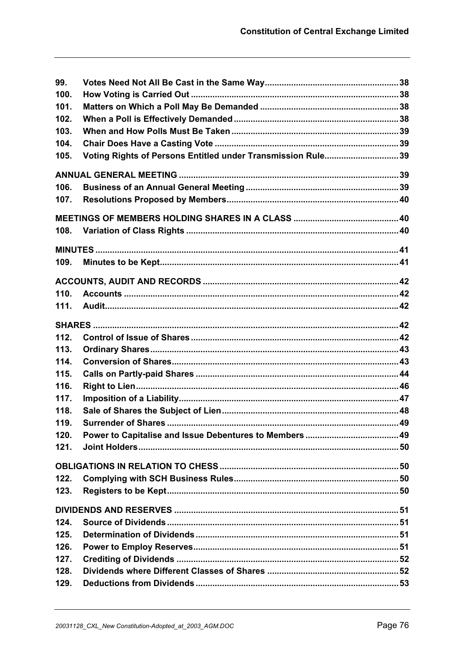| 99.  |                                                             |  |
|------|-------------------------------------------------------------|--|
| 100. |                                                             |  |
| 101. |                                                             |  |
| 102. |                                                             |  |
| 103. |                                                             |  |
| 104. |                                                             |  |
| 105. | Voting Rights of Persons Entitled under Transmission Rule39 |  |
|      |                                                             |  |
| 106. |                                                             |  |
| 107. |                                                             |  |
|      |                                                             |  |
| 108. |                                                             |  |
|      |                                                             |  |
| 109. |                                                             |  |
|      |                                                             |  |
| 110. |                                                             |  |
| 111. |                                                             |  |
|      |                                                             |  |
| 112. |                                                             |  |
| 113. |                                                             |  |
| 114. |                                                             |  |
| 115. |                                                             |  |
| 116. |                                                             |  |
| 117. |                                                             |  |
| 118. |                                                             |  |
| 119. |                                                             |  |
| 120. |                                                             |  |
| 121. |                                                             |  |
|      |                                                             |  |
| 122. |                                                             |  |
| 123. |                                                             |  |
|      |                                                             |  |
| 124. |                                                             |  |
| 125. |                                                             |  |
| 126. |                                                             |  |
| 127. |                                                             |  |
| 128. |                                                             |  |
| 129. |                                                             |  |